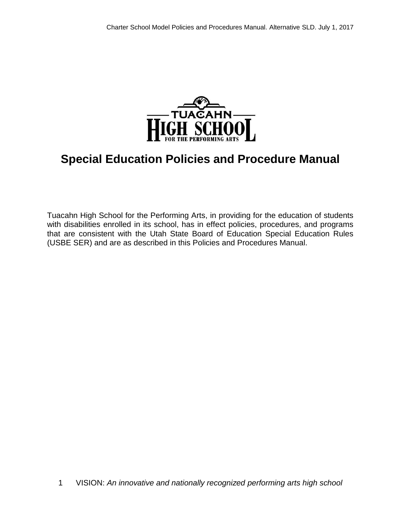

# **Special Education Policies and Procedure Manual**

Tuacahn High School for the Performing Arts, in providing for the education of students with disabilities enrolled in its school, has in effect policies, procedures, and programs that are consistent with the Utah State Board of Education Special Education Rules (USBE SER) and are as described in this Policies and Procedures Manual.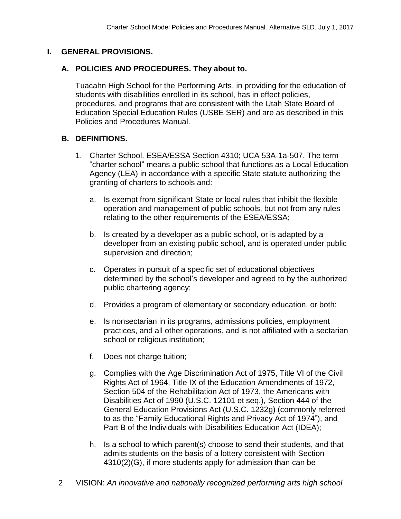#### **I. GENERAL PROVISIONS.**

#### **A. POLICIES AND PROCEDURES. They about to.**

Tuacahn High School for the Performing Arts, in providing for the education of students with disabilities enrolled in its school, has in effect policies, procedures, and programs that are consistent with the Utah State Board of Education Special Education Rules (USBE SER) and are as described in this Policies and Procedures Manual.

# **B. DEFINITIONS.**

- 1. Charter School. ESEA/ESSA Section 4310; UCA 53A-1a-507. The term "charter school" means a public school that functions as a Local Education Agency (LEA) in accordance with a specific State statute authorizing the granting of charters to schools and:
	- a. Is exempt from significant State or local rules that inhibit the flexible operation and management of public schools, but not from any rules relating to the other requirements of the ESEA/ESSA;
	- b. Is created by a developer as a public school, or is adapted by a developer from an existing public school, and is operated under public supervision and direction;
	- c. Operates in pursuit of a specific set of educational objectives determined by the school's developer and agreed to by the authorized public chartering agency;
	- d. Provides a program of elementary or secondary education, or both;
	- e. Is nonsectarian in its programs, admissions policies, employment practices, and all other operations, and is not affiliated with a sectarian school or religious institution;
	- f. Does not charge tuition;
	- g. Complies with the Age Discrimination Act of 1975, Title VI of the Civil Rights Act of 1964, Title IX of the Education Amendments of 1972, Section 504 of the Rehabilitation Act of 1973, the Americans with Disabilities Act of 1990 (U.S.C. 12101 et seq.), Section 444 of the General Education Provisions Act (U.S.C. 1232g) (commonly referred to as the "Family Educational Rights and Privacy Act of 1974"), and Part B of the Individuals with Disabilities Education Act (IDEA);
	- h. Is a school to which parent(s) choose to send their students, and that admits students on the basis of a lottery consistent with Section 4310(2)(G), if more students apply for admission than can be
- 2 VISION: *An innovative and nationally recognized performing arts high school*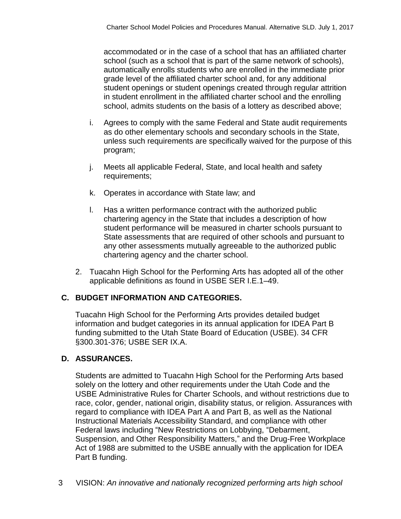accommodated or in the case of a school that has an affiliated charter school (such as a school that is part of the same network of schools), automatically enrolls students who are enrolled in the immediate prior grade level of the affiliated charter school and, for any additional student openings or student openings created through regular attrition in student enrollment in the affiliated charter school and the enrolling school, admits students on the basis of a lottery as described above;

- i. Agrees to comply with the same Federal and State audit requirements as do other elementary schools and secondary schools in the State, unless such requirements are specifically waived for the purpose of this program;
- j. Meets all applicable Federal, State, and local health and safety requirements;
- k. Operates in accordance with State law; and
- l. Has a written performance contract with the authorized public chartering agency in the State that includes a description of how student performance will be measured in charter schools pursuant to State assessments that are required of other schools and pursuant to any other assessments mutually agreeable to the authorized public chartering agency and the charter school.
- 2. Tuacahn High School for the Performing Arts has adopted all of the other applicable definitions as found in USBE SER I.E.1–49.

# **C. BUDGET INFORMATION AND CATEGORIES.**

Tuacahn High School for the Performing Arts provides detailed budget information and budget categories in its annual application for IDEA Part B funding submitted to the Utah State Board of Education (USBE). 34 CFR §300.301-376; USBE SER IX.A.

#### **D. ASSURANCES.**

Students are admitted to Tuacahn High School for the Performing Arts based solely on the lottery and other requirements under the Utah Code and the USBE Administrative Rules for Charter Schools, and without restrictions due to race, color, gender, national origin, disability status, or religion. Assurances with regard to compliance with IDEA Part A and Part B, as well as the National Instructional Materials Accessibility Standard, and compliance with other Federal laws including "New Restrictions on Lobbying, "Debarment, Suspension, and Other Responsibility Matters," and the Drug-Free Workplace Act of 1988 are submitted to the USBE annually with the application for IDEA Part B funding.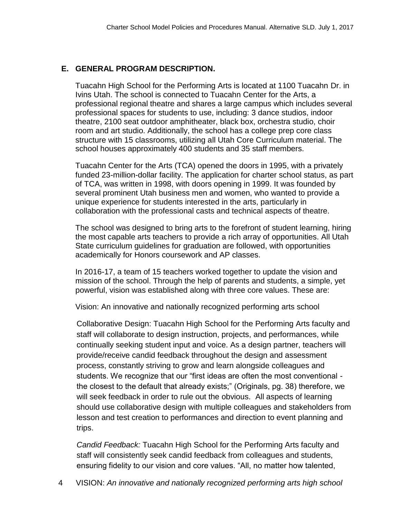# **E. GENERAL PROGRAM DESCRIPTION.**

Tuacahn High School for the Performing Arts is located at 1100 Tuacahn Dr. in Ivins Utah. The school is connected to Tuacahn Center for the Arts, a professional regional theatre and shares a large campus which includes several professional spaces for students to use, including: 3 dance studios, indoor theatre, 2100 seat outdoor amphitheater, black box, orchestra studio, choir room and art studio. Additionally, the school has a college prep core class structure with 15 classrooms, utilizing all Utah Core Curriculum material. The school houses approximately 400 students and 35 staff members.

Tuacahn Center for the Arts (TCA) opened the doors in 1995, with a privately funded 23-million-dollar facility. The application for charter school status, as part of TCA, was written in 1998, with doors opening in 1999. It was founded by several prominent Utah business men and women, who wanted to provide a unique experience for students interested in the arts, particularly in collaboration with the professional casts and technical aspects of theatre.

The school was designed to bring arts to the forefront of student learning, hiring the most capable arts teachers to provide a rich array of opportunities. All Utah State curriculum guidelines for graduation are followed, with opportunities academically for Honors coursework and AP classes.

In 2016-17, a team of 15 teachers worked together to update the vision and mission of the school. Through the help of parents and students, a simple, yet powerful, vision was established along with three core values. These are:

Vision: An innovative and nationally recognized performing arts school

Collaborative Design: Tuacahn High School for the Performing Arts faculty and staff will collaborate to design instruction, projects, and performances, while continually seeking student input and voice. As a design partner, teachers will provide/receive candid feedback throughout the design and assessment process, constantly striving to grow and learn alongside colleagues and students. We recognize that our "first ideas are often the most conventional the closest to the default that already exists;" (Originals, pg. 38) therefore, we will seek feedback in order to rule out the obvious. All aspects of learning should use collaborative design with multiple colleagues and stakeholders from lesson and test creation to performances and direction to event planning and trips.

*Candid Feedback:* Tuacahn High School for the Performing Arts faculty and staff will consistently seek candid feedback from colleagues and students, ensuring fidelity to our vision and core values. "All, no matter how talented,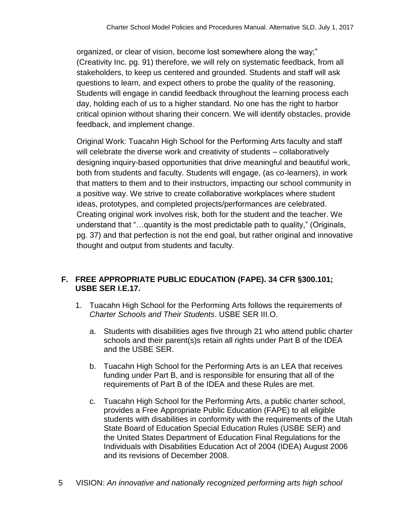organized, or clear of vision, become lost somewhere along the way;" (Creativity Inc. pg. 91) therefore, we will rely on systematic feedback, from all stakeholders, to keep us centered and grounded. Students and staff will ask questions to learn, and expect others to probe the quality of the reasoning. Students will engage in candid feedback throughout the learning process each day, holding each of us to a higher standard. No one has the right to harbor critical opinion without sharing their concern. We will identify obstacles, provide feedback, and implement change.

Original Work: Tuacahn High School for the Performing Arts faculty and staff will celebrate the diverse work and creativity of students – collaboratively designing inquiry-based opportunities that drive meaningful and beautiful work, both from students and faculty. Students will engage, (as co-learners), in work that matters to them and to their instructors, impacting our school community in a positive way. We strive to create collaborative workplaces where student ideas, prototypes, and completed projects/performances are celebrated. Creating original work involves risk, both for the student and the teacher. We understand that "…quantity is the most predictable path to quality," (Originals, pg. 37) and that perfection is not the end goal, but rather original and innovative thought and output from students and faculty.

# **F. FREE APPROPRIATE PUBLIC EDUCATION (FAPE). 34 CFR §300.101; USBE SER I.E.17.**

- 1. Tuacahn High School for the Performing Arts follows the requirements of *Charter Schools and Their Students*. USBE SER III.O.
	- a. Students with disabilities ages five through 21 who attend public charter schools and their parent(s)s retain all rights under Part B of the IDEA and the USBE SER.
	- b. Tuacahn High School for the Performing Arts is an LEA that receives funding under Part B, and is responsible for ensuring that all of the requirements of Part B of the IDEA and these Rules are met.
	- c. Tuacahn High School for the Performing Arts, a public charter school, provides a Free Appropriate Public Education (FAPE) to all eligible students with disabilities in conformity with the requirements of the Utah State Board of Education Special Education Rules (USBE SER) and the United States Department of Education Final Regulations for the Individuals with Disabilities Education Act of 2004 (IDEA) August 2006 and its revisions of December 2008.
- 5 VISION: *An innovative and nationally recognized performing arts high school*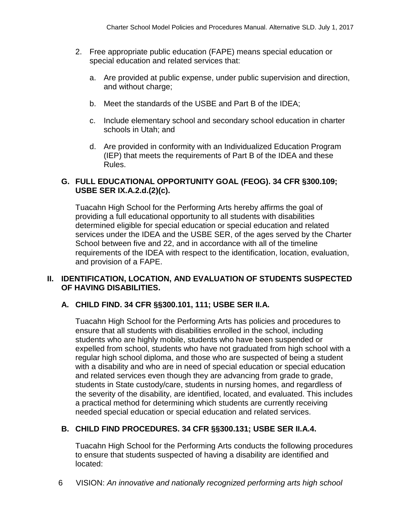- 2. Free appropriate public education (FAPE) means special education or special education and related services that:
	- a. Are provided at public expense, under public supervision and direction, and without charge;
	- b. Meet the standards of the USBE and Part B of the IDEA;
	- c. Include elementary school and secondary school education in charter schools in Utah; and
	- d. Are provided in conformity with an Individualized Education Program (IEP) that meets the requirements of Part B of the IDEA and these Rules.

# **G. FULL EDUCATIONAL OPPORTUNITY GOAL (FEOG). 34 CFR §300.109; USBE SER IX.A.2.d.(2)(c).**

Tuacahn High School for the Performing Arts hereby affirms the goal of providing a full educational opportunity to all students with disabilities determined eligible for special education or special education and related services under the IDEA and the USBE SER, of the ages served by the Charter School between five and 22, and in accordance with all of the timeline requirements of the IDEA with respect to the identification, location, evaluation, and provision of a FAPE.

# **II. IDENTIFICATION, LOCATION, AND EVALUATION OF STUDENTS SUSPECTED OF HAVING DISABILITIES.**

# **A. CHILD FIND. 34 CFR §§300.101, 111; USBE SER II.A.**

Tuacahn High School for the Performing Arts has policies and procedures to ensure that all students with disabilities enrolled in the school, including students who are highly mobile, students who have been suspended or expelled from school, students who have not graduated from high school with a regular high school diploma, and those who are suspected of being a student with a disability and who are in need of special education or special education and related services even though they are advancing from grade to grade, students in State custody/care, students in nursing homes, and regardless of the severity of the disability, are identified, located, and evaluated. This includes a practical method for determining which students are currently receiving needed special education or special education and related services.

# **B. CHILD FIND PROCEDURES. 34 CFR §§300.131; USBE SER II.A.4.**

Tuacahn High School for the Performing Arts conducts the following procedures to ensure that students suspected of having a disability are identified and located: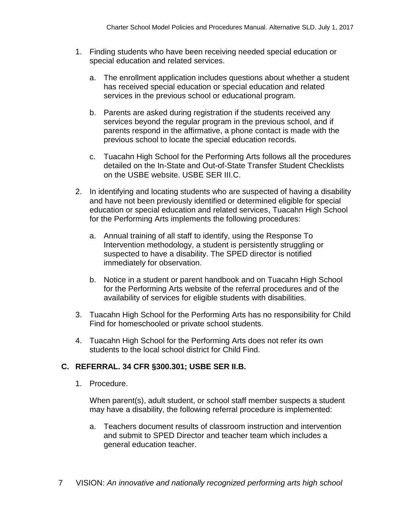- 1. Finding students who have been receiving needed special education or special education and related services.
	- a. The enrollment application includes questions about whether a student has received special education or special education and related services in the previous school or educational program.
	- b. Parents are asked during registration if the students received any services beyond the regular program in the previous school, and if parents respond in the affirmative, a phone contact is made with the previous school to locate the special education records.
	- c. Tuacahn High School for the Performing Arts follows all the procedures detailed on the In-State and Out-of-State Transfer Student Checklists on the USBE website. USBE SER III.C.
- 2. In identifying and locating students who are suspected of having a disability and have not been previously identified or determined eligible for special education or special education and related services, Tuacahn High School for the Performing Arts implements the following procedures:
	- a. Annual training of all staff to identify, using the Response To Intervention methodology, a student is persistently struggling or suspected to have a disability. The SPED director is notified immediately for observation.
	- b. Notice in a student or parent handbook and on Tuacahn High School for the Performing Arts website of the referral procedures and of the availability of services for eligible students with disabilities.
- 3. Tuacahn High School for the Performing Arts has no responsibility for Child Find for homeschooled or private school students.
- 4. Tuacahn High School for the Performing Arts does not refer its own students to the local school district for Child Find.

# **C. REFERRAL. 34 CFR §300.301; USBE SER II.B.**

1. Procedure.

When parent(s), adult student, or school staff member suspects a student may have a disability, the following referral procedure is implemented:

- a. Teachers document results of classroom instruction and intervention and submit to SPED Director and teacher team which includes a general education teacher.
- 7 VISION: *An innovative and nationally recognized performing arts high school*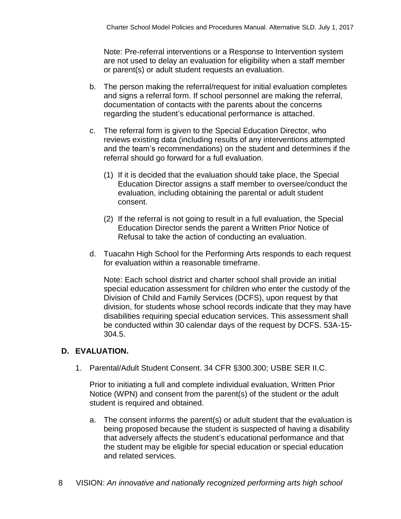Note: Pre-referral interventions or a Response to Intervention system are not used to delay an evaluation for eligibility when a staff member or parent(s) or adult student requests an evaluation.

- b. The person making the referral/request for initial evaluation completes and signs a referral form. If school personnel are making the referral, documentation of contacts with the parents about the concerns regarding the student's educational performance is attached.
- c. The referral form is given to the Special Education Director, who reviews existing data (including results of any interventions attempted and the team's recommendations) on the student and determines if the referral should go forward for a full evaluation.
	- (1) If it is decided that the evaluation should take place, the Special Education Director assigns a staff member to oversee/conduct the evaluation, including obtaining the parental or adult student consent.
	- (2) If the referral is not going to result in a full evaluation, the Special Education Director sends the parent a Written Prior Notice of Refusal to take the action of conducting an evaluation.
- d. Tuacahn High School for the Performing Arts responds to each request for evaluation within a reasonable timeframe.

Note: Each school district and charter school shall provide an initial special education assessment for children who enter the custody of the Division of Child and Family Services (DCFS), upon request by that division, for students whose school records indicate that they may have disabilities requiring special education services. This assessment shall be conducted within 30 calendar days of the request by DCFS. 53A-15- 304.5.

# **D. EVALUATION.**

1. Parental/Adult Student Consent. 34 CFR §300.300; USBE SER II.C.

Prior to initiating a full and complete individual evaluation, Written Prior Notice (WPN) and consent from the parent(s) of the student or the adult student is required and obtained.

- a. The consent informs the parent(s) or adult student that the evaluation is being proposed because the student is suspected of having a disability that adversely affects the student's educational performance and that the student may be eligible for special education or special education and related services.
- 8 VISION: *An innovative and nationally recognized performing arts high school*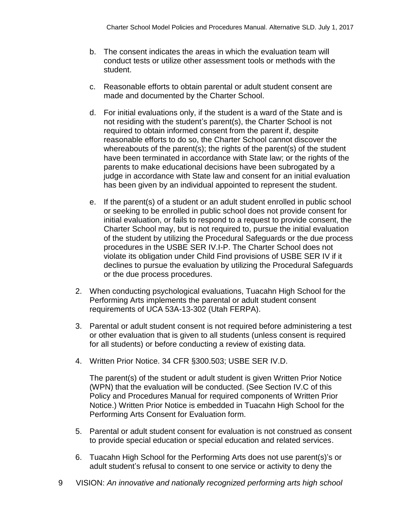- b. The consent indicates the areas in which the evaluation team will conduct tests or utilize other assessment tools or methods with the student.
- c. Reasonable efforts to obtain parental or adult student consent are made and documented by the Charter School.
- d. For initial evaluations only, if the student is a ward of the State and is not residing with the student's parent(s), the Charter School is not required to obtain informed consent from the parent if, despite reasonable efforts to do so, the Charter School cannot discover the whereabouts of the parent(s); the rights of the parent(s) of the student have been terminated in accordance with State law; or the rights of the parents to make educational decisions have been subrogated by a judge in accordance with State law and consent for an initial evaluation has been given by an individual appointed to represent the student.
- e. If the parent(s) of a student or an adult student enrolled in public school or seeking to be enrolled in public school does not provide consent for initial evaluation, or fails to respond to a request to provide consent, the Charter School may, but is not required to, pursue the initial evaluation of the student by utilizing the Procedural Safeguards or the due process procedures in the USBE SER IV.I-P. The Charter School does not violate its obligation under Child Find provisions of USBE SER IV if it declines to pursue the evaluation by utilizing the Procedural Safeguards or the due process procedures.
- 2. When conducting psychological evaluations, Tuacahn High School for the Performing Arts implements the parental or adult student consent requirements of UCA 53A-13-302 (Utah FERPA).
- 3. Parental or adult student consent is not required before administering a test or other evaluation that is given to all students (unless consent is required for all students) or before conducting a review of existing data.
- 4. Written Prior Notice. 34 CFR §300.503; USBE SER IV.D.

The parent(s) of the student or adult student is given Written Prior Notice (WPN) that the evaluation will be conducted. (See Section IV.C of this Policy and Procedures Manual for required components of Written Prior Notice.) Written Prior Notice is embedded in Tuacahn High School for the Performing Arts Consent for Evaluation form.

- 5. Parental or adult student consent for evaluation is not construed as consent to provide special education or special education and related services.
- 6. Tuacahn High School for the Performing Arts does not use parent(s)'s or adult student's refusal to consent to one service or activity to deny the
- 9 VISION: *An innovative and nationally recognized performing arts high school*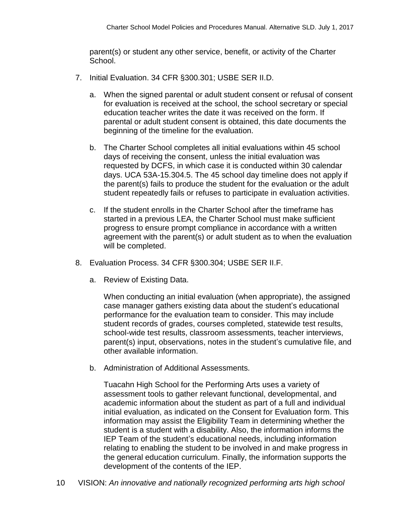parent(s) or student any other service, benefit, or activity of the Charter School.

- 7. Initial Evaluation. 34 CFR §300.301; USBE SER II.D.
	- a. When the signed parental or adult student consent or refusal of consent for evaluation is received at the school, the school secretary or special education teacher writes the date it was received on the form. If parental or adult student consent is obtained, this date documents the beginning of the timeline for the evaluation.
	- b. The Charter School completes all initial evaluations within 45 school days of receiving the consent, unless the initial evaluation was requested by DCFS, in which case it is conducted within 30 calendar days. UCA 53A-15.304.5. The 45 school day timeline does not apply if the parent(s) fails to produce the student for the evaluation or the adult student repeatedly fails or refuses to participate in evaluation activities.
	- c. If the student enrolls in the Charter School after the timeframe has started in a previous LEA, the Charter School must make sufficient progress to ensure prompt compliance in accordance with a written agreement with the parent(s) or adult student as to when the evaluation will be completed.
- 8. Evaluation Process. 34 CFR §300.304; USBE SER II.F.
	- a. Review of Existing Data.

When conducting an initial evaluation (when appropriate), the assigned case manager gathers existing data about the student's educational performance for the evaluation team to consider. This may include student records of grades, courses completed, statewide test results, school-wide test results, classroom assessments, teacher interviews, parent(s) input, observations, notes in the student's cumulative file, and other available information.

b. Administration of Additional Assessments.

Tuacahn High School for the Performing Arts uses a variety of assessment tools to gather relevant functional, developmental, and academic information about the student as part of a full and individual initial evaluation, as indicated on the Consent for Evaluation form. This information may assist the Eligibility Team in determining whether the student is a student with a disability. Also, the information informs the IEP Team of the student's educational needs, including information relating to enabling the student to be involved in and make progress in the general education curriculum. Finally, the information supports the development of the contents of the IEP.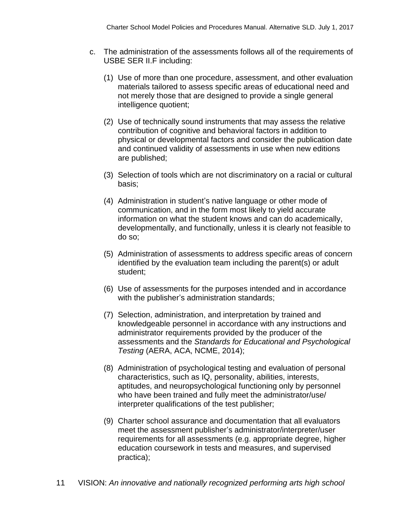- c. The administration of the assessments follows all of the requirements of USBE SER II.F including:
	- (1) Use of more than one procedure, assessment, and other evaluation materials tailored to assess specific areas of educational need and not merely those that are designed to provide a single general intelligence quotient;
	- (2) Use of technically sound instruments that may assess the relative contribution of cognitive and behavioral factors in addition to physical or developmental factors and consider the publication date and continued validity of assessments in use when new editions are published;
	- (3) Selection of tools which are not discriminatory on a racial or cultural basis;
	- (4) Administration in student's native language or other mode of communication, and in the form most likely to yield accurate information on what the student knows and can do academically, developmentally, and functionally, unless it is clearly not feasible to do so;
	- (5) Administration of assessments to address specific areas of concern identified by the evaluation team including the parent(s) or adult student;
	- (6) Use of assessments for the purposes intended and in accordance with the publisher's administration standards;
	- (7) Selection, administration, and interpretation by trained and knowledgeable personnel in accordance with any instructions and administrator requirements provided by the producer of the assessments and the *Standards for Educational and Psychological Testing* (AERA, ACA, NCME, 2014);
	- (8) Administration of psychological testing and evaluation of personal characteristics, such as IQ, personality, abilities, interests, aptitudes, and neuropsychological functioning only by personnel who have been trained and fully meet the administrator/use/ interpreter qualifications of the test publisher;
	- (9) Charter school assurance and documentation that all evaluators meet the assessment publisher's administrator/interpreter/user requirements for all assessments (e.g. appropriate degree, higher education coursework in tests and measures, and supervised practica);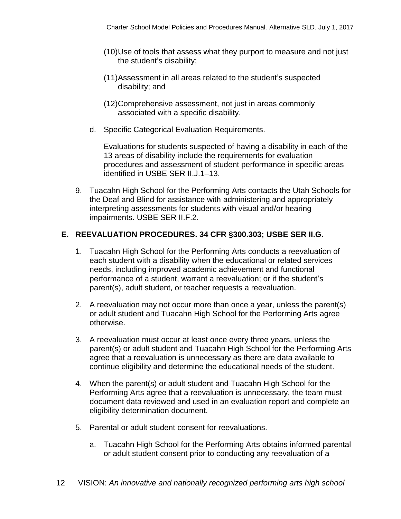- (10)Use of tools that assess what they purport to measure and not just the student's disability;
- (11)Assessment in all areas related to the student's suspected disability; and
- (12)Comprehensive assessment, not just in areas commonly associated with a specific disability.
- d. Specific Categorical Evaluation Requirements.

Evaluations for students suspected of having a disability in each of the 13 areas of disability include the requirements for evaluation procedures and assessment of student performance in specific areas identified in USBE SER II.J.1–13.

9. Tuacahn High School for the Performing Arts contacts the Utah Schools for the Deaf and Blind for assistance with administering and appropriately interpreting assessments for students with visual and/or hearing impairments. USBE SER II.F.2.

#### **E. REEVALUATION PROCEDURES. 34 CFR §300.303; USBE SER II.G.**

- 1. Tuacahn High School for the Performing Arts conducts a reevaluation of each student with a disability when the educational or related services needs, including improved academic achievement and functional performance of a student, warrant a reevaluation; or if the student's parent(s), adult student, or teacher requests a reevaluation.
- 2. A reevaluation may not occur more than once a year, unless the parent(s) or adult student and Tuacahn High School for the Performing Arts agree otherwise.
- 3. A reevaluation must occur at least once every three years, unless the parent(s) or adult student and Tuacahn High School for the Performing Arts agree that a reevaluation is unnecessary as there are data available to continue eligibility and determine the educational needs of the student.
- 4. When the parent(s) or adult student and Tuacahn High School for the Performing Arts agree that a reevaluation is unnecessary, the team must document data reviewed and used in an evaluation report and complete an eligibility determination document.
- 5. Parental or adult student consent for reevaluations.
	- a. Tuacahn High School for the Performing Arts obtains informed parental or adult student consent prior to conducting any reevaluation of a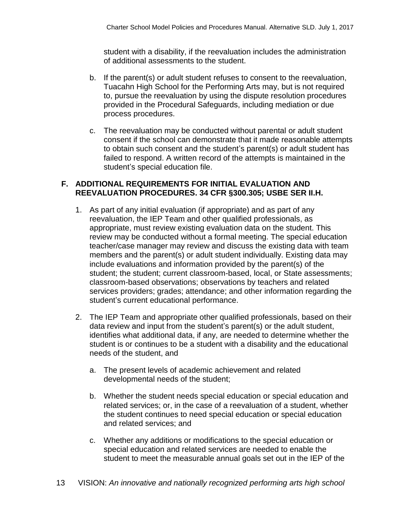student with a disability, if the reevaluation includes the administration of additional assessments to the student.

- b. If the parent(s) or adult student refuses to consent to the reevaluation, Tuacahn High School for the Performing Arts may, but is not required to, pursue the reevaluation by using the dispute resolution procedures provided in the Procedural Safeguards, including mediation or due process procedures.
- c. The reevaluation may be conducted without parental or adult student consent if the school can demonstrate that it made reasonable attempts to obtain such consent and the student's parent(s) or adult student has failed to respond. A written record of the attempts is maintained in the student's special education file.

#### **F. ADDITIONAL REQUIREMENTS FOR INITIAL EVALUATION AND REEVALUATION PROCEDURES. 34 CFR §300.305; USBE SER II.H.**

- 1. As part of any initial evaluation (if appropriate) and as part of any reevaluation, the IEP Team and other qualified professionals, as appropriate, must review existing evaluation data on the student. This review may be conducted without a formal meeting. The special education teacher/case manager may review and discuss the existing data with team members and the parent(s) or adult student individually. Existing data may include evaluations and information provided by the parent(s) of the student; the student; current classroom-based, local, or State assessments; classroom-based observations; observations by teachers and related services providers; grades; attendance; and other information regarding the student's current educational performance.
- 2. The IEP Team and appropriate other qualified professionals, based on their data review and input from the student's parent(s) or the adult student, identifies what additional data, if any, are needed to determine whether the student is or continues to be a student with a disability and the educational needs of the student, and
	- a. The present levels of academic achievement and related developmental needs of the student;
	- b. Whether the student needs special education or special education and related services; or, in the case of a reevaluation of a student, whether the student continues to need special education or special education and related services; and
	- c. Whether any additions or modifications to the special education or special education and related services are needed to enable the student to meet the measurable annual goals set out in the IEP of the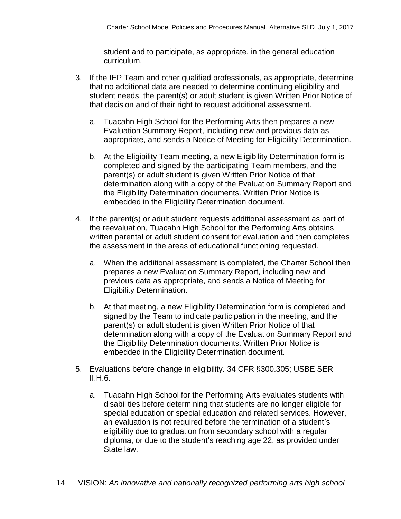student and to participate, as appropriate, in the general education curriculum.

- 3. If the IEP Team and other qualified professionals, as appropriate, determine that no additional data are needed to determine continuing eligibility and student needs, the parent(s) or adult student is given Written Prior Notice of that decision and of their right to request additional assessment.
	- a. Tuacahn High School for the Performing Arts then prepares a new Evaluation Summary Report, including new and previous data as appropriate, and sends a Notice of Meeting for Eligibility Determination.
	- b. At the Eligibility Team meeting, a new Eligibility Determination form is completed and signed by the participating Team members, and the parent(s) or adult student is given Written Prior Notice of that determination along with a copy of the Evaluation Summary Report and the Eligibility Determination documents. Written Prior Notice is embedded in the Eligibility Determination document.
- 4. If the parent(s) or adult student requests additional assessment as part of the reevaluation, Tuacahn High School for the Performing Arts obtains written parental or adult student consent for evaluation and then completes the assessment in the areas of educational functioning requested.
	- a. When the additional assessment is completed, the Charter School then prepares a new Evaluation Summary Report, including new and previous data as appropriate, and sends a Notice of Meeting for Eligibility Determination.
	- b. At that meeting, a new Eligibility Determination form is completed and signed by the Team to indicate participation in the meeting, and the parent(s) or adult student is given Written Prior Notice of that determination along with a copy of the Evaluation Summary Report and the Eligibility Determination documents. Written Prior Notice is embedded in the Eligibility Determination document.
- 5. Evaluations before change in eligibility. 34 CFR §300.305; USBE SER II.H.6.
	- a. Tuacahn High School for the Performing Arts evaluates students with disabilities before determining that students are no longer eligible for special education or special education and related services. However, an evaluation is not required before the termination of a student's eligibility due to graduation from secondary school with a regular diploma, or due to the student's reaching age 22, as provided under State law.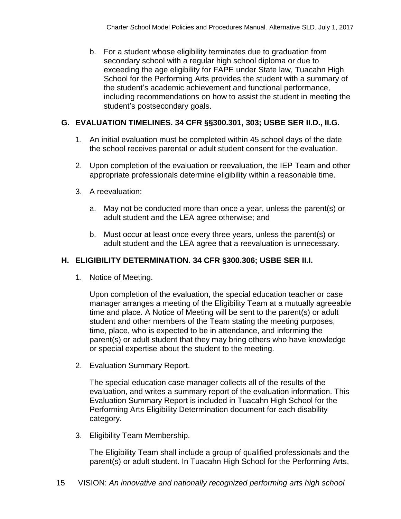b. For a student whose eligibility terminates due to graduation from secondary school with a regular high school diploma or due to exceeding the age eligibility for FAPE under State law, Tuacahn High School for the Performing Arts provides the student with a summary of the student's academic achievement and functional performance, including recommendations on how to assist the student in meeting the student's postsecondary goals.

# **G. EVALUATION TIMELINES. 34 CFR §§300.301, 303; USBE SER II.D., II.G.**

- 1. An initial evaluation must be completed within 45 school days of the date the school receives parental or adult student consent for the evaluation.
- 2. Upon completion of the evaluation or reevaluation, the IEP Team and other appropriate professionals determine eligibility within a reasonable time.
- 3. A reevaluation:
	- a. May not be conducted more than once a year, unless the parent(s) or adult student and the LEA agree otherwise; and
	- b. Must occur at least once every three years, unless the parent(s) or adult student and the LEA agree that a reevaluation is unnecessary.

# **H. ELIGIBILITY DETERMINATION. 34 CFR §300.306; USBE SER II.I.**

1. Notice of Meeting.

Upon completion of the evaluation, the special education teacher or case manager arranges a meeting of the Eligibility Team at a mutually agreeable time and place. A Notice of Meeting will be sent to the parent(s) or adult student and other members of the Team stating the meeting purposes, time, place, who is expected to be in attendance, and informing the parent(s) or adult student that they may bring others who have knowledge or special expertise about the student to the meeting.

2. Evaluation Summary Report.

The special education case manager collects all of the results of the evaluation, and writes a summary report of the evaluation information. This Evaluation Summary Report is included in Tuacahn High School for the Performing Arts Eligibility Determination document for each disability category.

3. Eligibility Team Membership.

The Eligibility Team shall include a group of qualified professionals and the parent(s) or adult student. In Tuacahn High School for the Performing Arts,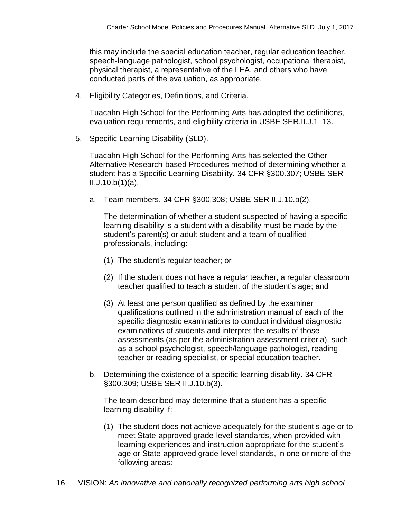this may include the special education teacher, regular education teacher, speech-language pathologist, school psychologist, occupational therapist, physical therapist, a representative of the LEA, and others who have conducted parts of the evaluation, as appropriate.

4. Eligibility Categories, Definitions, and Criteria.

Tuacahn High School for the Performing Arts has adopted the definitions, evaluation requirements, and eligibility criteria in USBE SER.II.J.1–13.

5. Specific Learning Disability (SLD).

Tuacahn High School for the Performing Arts has selected the Other Alternative Research-based Procedures method of determining whether a student has a Specific Learning Disability. 34 CFR §300.307; USBE SER  $II.J.10.b(1)(a)$ .

a. Team members. 34 CFR §300.308; USBE SER II.J.10.b(2).

The determination of whether a student suspected of having a specific learning disability is a student with a disability must be made by the student's parent(s) or adult student and a team of qualified professionals, including:

- (1) The student's regular teacher; or
- (2) If the student does not have a regular teacher, a regular classroom teacher qualified to teach a student of the student's age; and
- (3) At least one person qualified as defined by the examiner qualifications outlined in the administration manual of each of the specific diagnostic examinations to conduct individual diagnostic examinations of students and interpret the results of those assessments (as per the administration assessment criteria), such as a school psychologist, speech/language pathologist, reading teacher or reading specialist, or special education teacher.
- b. Determining the existence of a specific learning disability. 34 CFR §300.309; USBE SER II.J.10.b(3).

The team described may determine that a student has a specific learning disability if:

(1) The student does not achieve adequately for the student's age or to meet State-approved grade-level standards, when provided with learning experiences and instruction appropriate for the student's age or State-approved grade-level standards, in one or more of the following areas: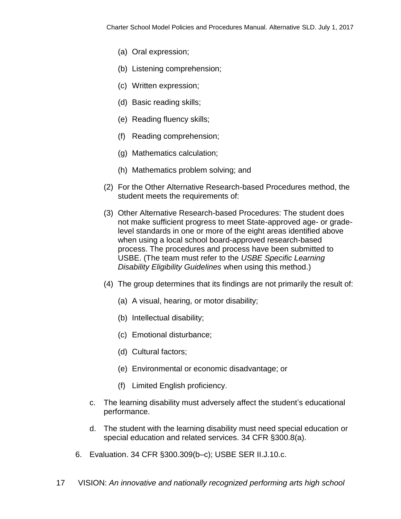- (a) Oral expression;
- (b) Listening comprehension;
- (c) Written expression;
- (d) Basic reading skills;
- (e) Reading fluency skills;
- (f) Reading comprehension;
- (g) Mathematics calculation;
- (h) Mathematics problem solving; and
- (2) For the Other Alternative Research-based Procedures method, the student meets the requirements of:
- (3) Other Alternative Research-based Procedures: The student does not make sufficient progress to meet State-approved age- or gradelevel standards in one or more of the eight areas identified above when using a local school board-approved research-based process. The procedures and process have been submitted to USBE. (The team must refer to the *USBE Specific Learning Disability Eligibility Guidelines* when using this method.)
- (4) The group determines that its findings are not primarily the result of:
	- (a) A visual, hearing, or motor disability;
	- (b) Intellectual disability;
	- (c) Emotional disturbance;
	- (d) Cultural factors;
	- (e) Environmental or economic disadvantage; or
	- (f) Limited English proficiency.
- c. The learning disability must adversely affect the student's educational performance.
- d. The student with the learning disability must need special education or special education and related services. 34 CFR §300.8(a).
- 6. Evaluation. 34 CFR §300.309(b–c); USBE SER II.J.10.c.
- 17 VISION: *An innovative and nationally recognized performing arts high school*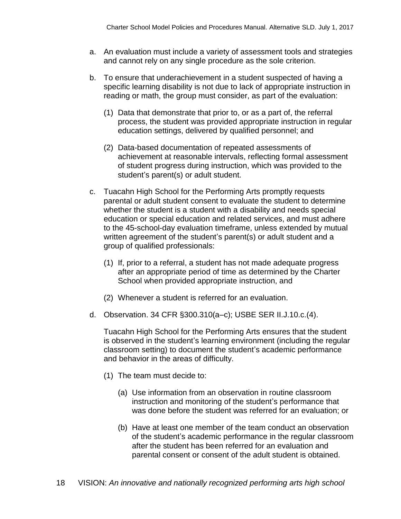- a. An evaluation must include a variety of assessment tools and strategies and cannot rely on any single procedure as the sole criterion.
- b. To ensure that underachievement in a student suspected of having a specific learning disability is not due to lack of appropriate instruction in reading or math, the group must consider, as part of the evaluation:
	- (1) Data that demonstrate that prior to, or as a part of, the referral process, the student was provided appropriate instruction in regular education settings, delivered by qualified personnel; and
	- (2) Data-based documentation of repeated assessments of achievement at reasonable intervals, reflecting formal assessment of student progress during instruction, which was provided to the student's parent(s) or adult student.
- c. Tuacahn High School for the Performing Arts promptly requests parental or adult student consent to evaluate the student to determine whether the student is a student with a disability and needs special education or special education and related services, and must adhere to the 45-school-day evaluation timeframe, unless extended by mutual written agreement of the student's parent(s) or adult student and a group of qualified professionals:
	- (1) If, prior to a referral, a student has not made adequate progress after an appropriate period of time as determined by the Charter School when provided appropriate instruction, and
	- (2) Whenever a student is referred for an evaluation.
- d. Observation. 34 CFR §300.310(a–c); USBE SER II.J.10.c.(4).

Tuacahn High School for the Performing Arts ensures that the student is observed in the student's learning environment (including the regular classroom setting) to document the student's academic performance and behavior in the areas of difficulty.

- (1) The team must decide to:
	- (a) Use information from an observation in routine classroom instruction and monitoring of the student's performance that was done before the student was referred for an evaluation; or
	- (b) Have at least one member of the team conduct an observation of the student's academic performance in the regular classroom after the student has been referred for an evaluation and parental consent or consent of the adult student is obtained.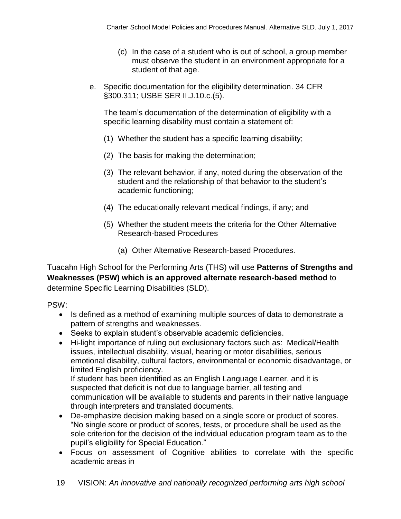- (c) In the case of a student who is out of school, a group member must observe the student in an environment appropriate for a student of that age.
- e. Specific documentation for the eligibility determination. 34 CFR §300.311; USBE SER II.J.10.c.(5).

The team's documentation of the determination of eligibility with a specific learning disability must contain a statement of:

- (1) Whether the student has a specific learning disability;
- (2) The basis for making the determination;
- (3) The relevant behavior, if any, noted during the observation of the student and the relationship of that behavior to the student's academic functioning;
- (4) The educationally relevant medical findings, if any; and
- (5) Whether the student meets the criteria for the Other Alternative Research-based Procedures
	- (a) Other Alternative Research-based Procedures.

Tuacahn High School for the Performing Arts (THS) will use **Patterns of Strengths and Weaknesses (PSW) which is an approved alternate research-based method** to determine Specific Learning Disabilities (SLD).

PSW:

- Is defined as a method of examining multiple sources of data to demonstrate a pattern of strengths and weaknesses.
- Seeks to explain student's observable academic deficiencies.
- Hi-light importance of ruling out exclusionary factors such as: Medical/Health issues, intellectual disability, visual, hearing or motor disabilities, serious emotional disability, cultural factors, environmental or economic disadvantage, or limited English proficiency.

If student has been identified as an English Language Learner, and it is suspected that deficit is not due to language barrier, all testing and communication will be available to students and parents in their native language through interpreters and translated documents.

- De-emphasize decision making based on a single score or product of scores. "No single score or product of scores, tests, or procedure shall be used as the sole criterion for the decision of the individual education program team as to the pupil's eligibility for Special Education."
- Focus on assessment of Cognitive abilities to correlate with the specific academic areas in
- 19 VISION: *An innovative and nationally recognized performing arts high school*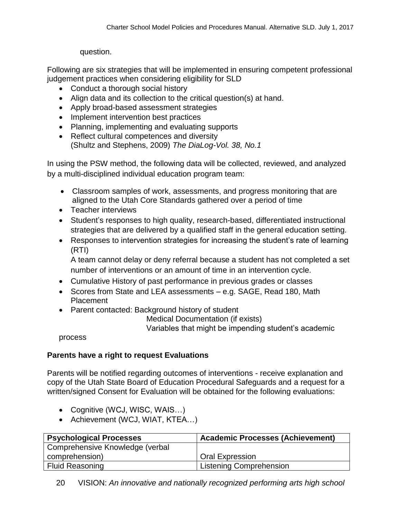question.

Following are six strategies that will be implemented in ensuring competent professional judgement practices when considering eligibility for SLD

- Conduct a thorough social history
- Align data and its collection to the critical question(s) at hand.
- Apply broad-based assessment strategies
- Implement intervention best practices
- Planning, implementing and evaluating supports
- Reflect cultural competences and diversity (Shultz and Stephens, 2009) *The DiaLog-Vol. 38, No.1*

In using the PSW method, the following data will be collected, reviewed, and analyzed by a multi-disciplined individual education program team:

- Classroom samples of work, assessments, and progress monitoring that are aligned to the Utah Core Standards gathered over a period of time
- Teacher interviews
- Student's responses to high quality, research-based, differentiated instructional strategies that are delivered by a qualified staff in the general education setting.
- Responses to intervention strategies for increasing the student's rate of learning (RTI)

A team cannot delay or deny referral because a student has not completed a set number of interventions or an amount of time in an intervention cycle.

- Cumulative History of past performance in previous grades or classes
- Scores from State and LEA assessments e.g. SAGE, Read 180, Math Placement
- Parent contacted: Background history of student

Medical Documentation (if exists)

Variables that might be impending student's academic

process

# **Parents have a right to request Evaluations**

Parents will be notified regarding outcomes of interventions - receive explanation and copy of the Utah State Board of Education Procedural Safeguards and a request for a written/signed Consent for Evaluation will be obtained for the following evaluations:

- Cognitive (WCJ, WISC, WAIS...)
- Achievement (WCJ, WIAT, KTEA...)

| <b>Psychological Processes</b>  | <b>Academic Processes (Achievement)</b> |
|---------------------------------|-----------------------------------------|
| Comprehensive Knowledge (verbal |                                         |
| comprehension)                  | <b>Oral Expression</b>                  |
| <b>Fluid Reasoning</b>          | <b>Listening Comprehension</b>          |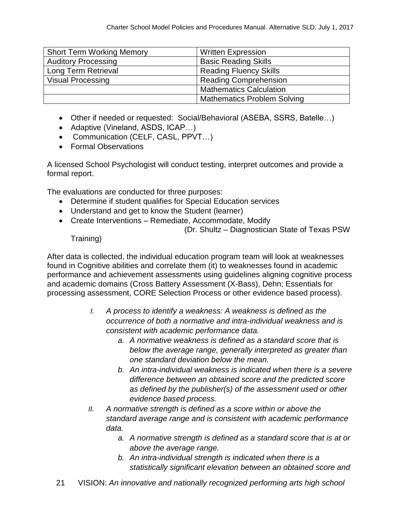| <b>Short Term Working Memory</b> | <b>Written Expression</b>          |
|----------------------------------|------------------------------------|
| <b>Auditory Processing</b>       | <b>Basic Reading Skills</b>        |
| Long Term Retrieval              | <b>Reading Fluency Skills</b>      |
| <b>Visual Processing</b>         | <b>Reading Comprehension</b>       |
|                                  | <b>Mathematics Calculation</b>     |
|                                  | <b>Mathematics Problem Solving</b> |

- Other if needed or requested: Social/Behavioral (ASEBA, SSRS, Batelle…)
- Adaptive (Vineland, ASDS, ICAP...)
- Communication (CELF, CASL, PPVT...)
- Formal Observations

A licensed School Psychologist will conduct testing, interpret outcomes and provide a formal report.

The evaluations are conducted for three purposes:

- Determine if student qualifies for Special Education services
- Understand and get to know the Student (learner)
- Create Interventions Remediate, Accommodate, Modify

(Dr. Shultz – Diagnostician State of Texas PSW

Training)

After data is collected, the individual education program team will look at weaknesses found in Cognitive abilities and correlate them (it) to weaknesses found in academic performance and achievement assessments using guidelines aligning cognitive process and academic domains (Cross Battery Assessment (X-Bass), Dehn; Essentials for processing assessment, CORE Selection Process or other evidence based process).

- *I. A process to identify a weakness: A weakness is defined as the occurrence of both a normative and intra-individual weakness and is consistent with academic performance data.* 
	- *a. A normative weakness is defined as a standard score that is below the average range, generally interpreted as greater than one standard deviation below the mean.*
	- *b. An intra-individual weakness is indicated when there is a severe difference between an obtained score and the predicted score as defined by the publisher(s) of the assessment used or other evidence based process.*
- *II. A normative strength is defined as a score within or above the standard average range and is consistent with academic performance data.*
	- *a. A normative strength is defined as a standard score that is at or above the average range.*
	- *b. An intra-individual strength is indicated when there is a statistically significant elevation between an obtained score and*
- 21 VISION: *An innovative and nationally recognized performing arts high school*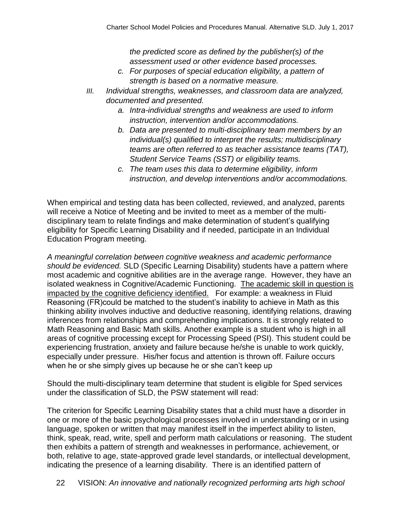*the predicted score as defined by the publisher(s) of the assessment used or other evidence based processes.*

- *c. For purposes of special education eligibility, a pattern of strength is based on a normative measure.*
- *III. Individual strengths, weaknesses, and classroom data are analyzed, documented and presented.*
	- *a. Intra-individual strengths and weakness are used to inform instruction, intervention and/or accommodations.*
	- *b. Data are presented to multi-disciplinary team members by an individual(s) qualified to interpret the results; multidisciplinary teams are often referred to as teacher assistance teams (TAT), Student Service Teams (SST) or eligibility teams.*
	- *c. The team uses this data to determine eligibility, inform instruction, and develop interventions and/or accommodations.*

When empirical and testing data has been collected, reviewed, and analyzed, parents will receive a Notice of Meeting and be invited to meet as a member of the multidisciplinary team to relate findings and make determination of student's qualifying eligibility for Specific Learning Disability and if needed, participate in an Individual Education Program meeting.

*A meaningful correlation between cognitive weakness and academic performance should be evidenced.* SLD (Specific Learning Disability) students have a pattern where most academic and cognitive abilities are in the average range. However, they have an isolated weakness in Cognitive/Academic Functioning. The academic skill in question is impacted by the cognitive deficiency identified. For example: a weakness in Fluid Reasoning (FR)could be matched to the student's inability to achieve in Math as this thinking ability involves inductive and deductive reasoning, identifying relations, drawing inferences from relationships and comprehending implications. It is strongly related to Math Reasoning and Basic Math skills. Another example is a student who is high in all areas of cognitive processing except for Processing Speed (PSI). This student could be experiencing frustration, anxiety and failure because he/she is unable to work quickly, especially under pressure. His/her focus and attention is thrown off. Failure occurs when he or she simply gives up because he or she can't keep up

Should the multi-disciplinary team determine that student is eligible for Sped services under the classification of SLD, the PSW statement will read:

The criterion for Specific Learning Disability states that a child must have a disorder in one or more of the basic psychological processes involved in understanding or in using language, spoken or written that may manifest itself in the imperfect ability to listen, think, speak, read, write, spell and perform math calculations or reasoning. The student then exhibits a pattern of strength and weaknesses in performance, achievement, or both, relative to age, state-approved grade level standards, or intellectual development, indicating the presence of a learning disability. There is an identified pattern of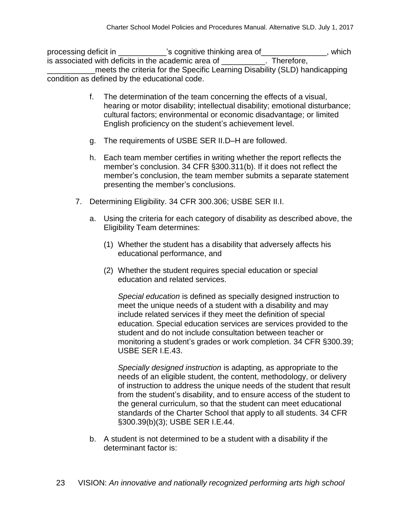processing deficit in \_\_\_\_\_\_\_\_\_\_'s cognitive thinking area of\_\_\_\_\_\_\_\_\_\_\_\_\_\_, which is associated with deficits in the academic area of \_\_\_\_\_\_\_\_\_\_. Therefore, \_\_\_\_\_\_\_\_\_\_\_meets the criteria for the Specific Learning Disability (SLD) handicapping condition as defined by the educational code.

- f. The determination of the team concerning the effects of a visual, hearing or motor disability; intellectual disability; emotional disturbance; cultural factors; environmental or economic disadvantage; or limited English proficiency on the student's achievement level.
- g. The requirements of USBE SER II.D–H are followed.
- h. Each team member certifies in writing whether the report reflects the member's conclusion. 34 CFR §300.311(b). If it does not reflect the member's conclusion, the team member submits a separate statement presenting the member's conclusions.
- 7. Determining Eligibility. 34 CFR 300.306; USBE SER II.I.
	- a. Using the criteria for each category of disability as described above, the Eligibility Team determines:
		- (1) Whether the student has a disability that adversely affects his educational performance, and
		- (2) Whether the student requires special education or special education and related services.

*Special education* is defined as specially designed instruction to meet the unique needs of a student with a disability and may include related services if they meet the definition of special education. Special education services are services provided to the student and do not include consultation between teacher or monitoring a student's grades or work completion. 34 CFR §300.39; USBE SER I.E.43.

*Specially designed instruction* is adapting, as appropriate to the needs of an eligible student, the content, methodology, or delivery of instruction to address the unique needs of the student that result from the student's disability, and to ensure access of the student to the general curriculum, so that the student can meet educational standards of the Charter School that apply to all students. 34 CFR §300.39(b)(3); USBE SER I.E.44.

b. A student is not determined to be a student with a disability if the determinant factor is: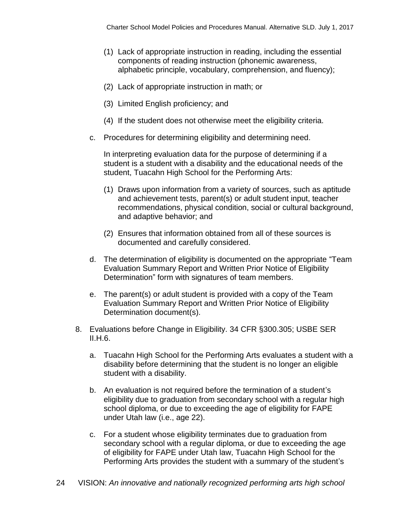- (1) Lack of appropriate instruction in reading, including the essential components of reading instruction (phonemic awareness, alphabetic principle, vocabulary, comprehension, and fluency);
- (2) Lack of appropriate instruction in math; or
- (3) Limited English proficiency; and
- (4) If the student does not otherwise meet the eligibility criteria.
- c. Procedures for determining eligibility and determining need.

In interpreting evaluation data for the purpose of determining if a student is a student with a disability and the educational needs of the student, Tuacahn High School for the Performing Arts:

- (1) Draws upon information from a variety of sources, such as aptitude and achievement tests, parent(s) or adult student input, teacher recommendations, physical condition, social or cultural background, and adaptive behavior; and
- (2) Ensures that information obtained from all of these sources is documented and carefully considered.
- d. The determination of eligibility is documented on the appropriate "Team Evaluation Summary Report and Written Prior Notice of Eligibility Determination" form with signatures of team members.
- e. The parent(s) or adult student is provided with a copy of the Team Evaluation Summary Report and Written Prior Notice of Eligibility Determination document(s).
- 8. Evaluations before Change in Eligibility. 34 CFR §300.305; USBE SER II.H.6.
	- a. Tuacahn High School for the Performing Arts evaluates a student with a disability before determining that the student is no longer an eligible student with a disability.
	- b. An evaluation is not required before the termination of a student's eligibility due to graduation from secondary school with a regular high school diploma, or due to exceeding the age of eligibility for FAPE under Utah law (i.e., age 22).
	- c. For a student whose eligibility terminates due to graduation from secondary school with a regular diploma, or due to exceeding the age of eligibility for FAPE under Utah law, Tuacahn High School for the Performing Arts provides the student with a summary of the student's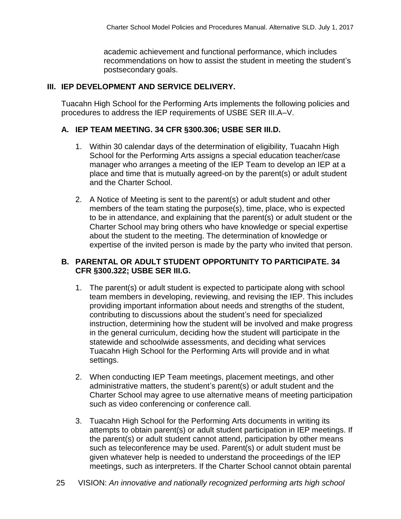academic achievement and functional performance, which includes recommendations on how to assist the student in meeting the student's postsecondary goals.

## **III. IEP DEVELOPMENT AND SERVICE DELIVERY.**

Tuacahn High School for the Performing Arts implements the following policies and procedures to address the IEP requirements of USBE SER III.A–V.

#### **A. IEP TEAM MEETING. 34 CFR §300.306; USBE SER III.D.**

- 1. Within 30 calendar days of the determination of eligibility, Tuacahn High School for the Performing Arts assigns a special education teacher/case manager who arranges a meeting of the IEP Team to develop an IEP at a place and time that is mutually agreed-on by the parent(s) or adult student and the Charter School.
- 2. A Notice of Meeting is sent to the parent(s) or adult student and other members of the team stating the purpose(s), time, place, who is expected to be in attendance, and explaining that the parent(s) or adult student or the Charter School may bring others who have knowledge or special expertise about the student to the meeting. The determination of knowledge or expertise of the invited person is made by the party who invited that person.

#### **B. PARENTAL OR ADULT STUDENT OPPORTUNITY TO PARTICIPATE. 34 CFR §300.322; USBE SER III.G.**

- 1. The parent(s) or adult student is expected to participate along with school team members in developing, reviewing, and revising the IEP. This includes providing important information about needs and strengths of the student, contributing to discussions about the student's need for specialized instruction, determining how the student will be involved and make progress in the general curriculum, deciding how the student will participate in the statewide and schoolwide assessments, and deciding what services Tuacahn High School for the Performing Arts will provide and in what settings.
- 2. When conducting IEP Team meetings, placement meetings, and other administrative matters, the student's parent(s) or adult student and the Charter School may agree to use alternative means of meeting participation such as video conferencing or conference call.
- 3. Tuacahn High School for the Performing Arts documents in writing its attempts to obtain parent(s) or adult student participation in IEP meetings. If the parent(s) or adult student cannot attend, participation by other means such as teleconference may be used. Parent(s) or adult student must be given whatever help is needed to understand the proceedings of the IEP meetings, such as interpreters. If the Charter School cannot obtain parental
- 25 VISION: *An innovative and nationally recognized performing arts high school*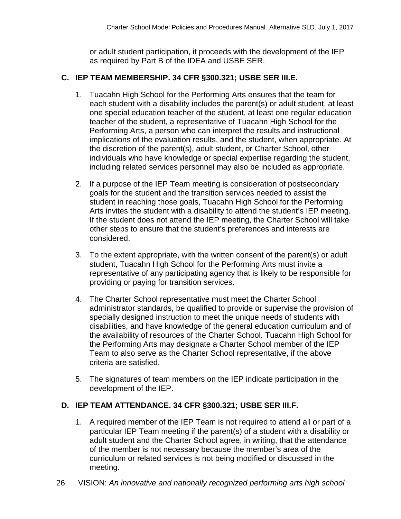or adult student participation, it proceeds with the development of the IEP as required by Part B of the IDEA and USBE SER.

# **C. IEP TEAM MEMBERSHIP. 34 CFR §300.321; USBE SER III.E.**

- 1. Tuacahn High School for the Performing Arts ensures that the team for each student with a disability includes the parent(s) or adult student, at least one special education teacher of the student, at least one regular education teacher of the student, a representative of Tuacahn High School for the Performing Arts, a person who can interpret the results and instructional implications of the evaluation results, and the student, when appropriate. At the discretion of the parent(s), adult student, or Charter School, other individuals who have knowledge or special expertise regarding the student, including related services personnel may also be included as appropriate.
- 2. If a purpose of the IEP Team meeting is consideration of postsecondary goals for the student and the transition services needed to assist the student in reaching those goals, Tuacahn High School for the Performing Arts invites the student with a disability to attend the student's IEP meeting. If the student does not attend the IEP meeting, the Charter School will take other steps to ensure that the student's preferences and interests are considered.
- 3. To the extent appropriate, with the written consent of the parent(s) or adult student, Tuacahn High School for the Performing Arts must invite a representative of any participating agency that is likely to be responsible for providing or paying for transition services.
- 4. The Charter School representative must meet the Charter School administrator standards, be qualified to provide or supervise the provision of specially designed instruction to meet the unique needs of students with disabilities, and have knowledge of the general education curriculum and of the availability of resources of the Charter School. Tuacahn High School for the Performing Arts may designate a Charter School member of the IEP Team to also serve as the Charter School representative, if the above criteria are satisfied.
- 5. The signatures of team members on the IEP indicate participation in the development of the IEP.

# **D. IEP TEAM ATTENDANCE. 34 CFR §300.321; USBE SER III.F.**

- 1. A required member of the IEP Team is not required to attend all or part of a particular IEP Team meeting if the parent(s) of a student with a disability or adult student and the Charter School agree, in writing, that the attendance of the member is not necessary because the member's area of the curriculum or related services is not being modified or discussed in the meeting.
- 26 VISION: *An innovative and nationally recognized performing arts high school*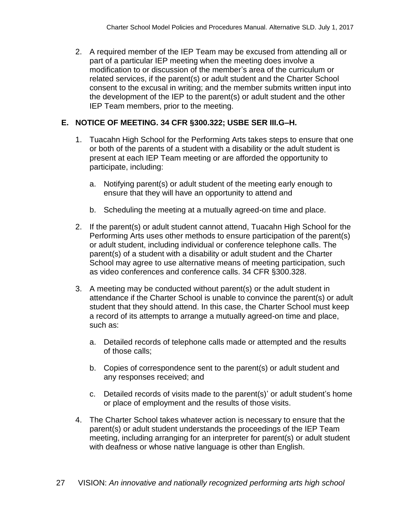2. A required member of the IEP Team may be excused from attending all or part of a particular IEP meeting when the meeting does involve a modification to or discussion of the member's area of the curriculum or related services, if the parent(s) or adult student and the Charter School consent to the excusal in writing; and the member submits written input into the development of the IEP to the parent(s) or adult student and the other IEP Team members, prior to the meeting.

# **E. NOTICE OF MEETING. 34 CFR §300.322; USBE SER III.G–H.**

- 1. Tuacahn High School for the Performing Arts takes steps to ensure that one or both of the parents of a student with a disability or the adult student is present at each IEP Team meeting or are afforded the opportunity to participate, including:
	- a. Notifying parent(s) or adult student of the meeting early enough to ensure that they will have an opportunity to attend and
	- b. Scheduling the meeting at a mutually agreed-on time and place.
- 2. If the parent(s) or adult student cannot attend, Tuacahn High School for the Performing Arts uses other methods to ensure participation of the parent(s) or adult student, including individual or conference telephone calls. The parent(s) of a student with a disability or adult student and the Charter School may agree to use alternative means of meeting participation, such as video conferences and conference calls. 34 CFR §300.328.
- 3. A meeting may be conducted without parent(s) or the adult student in attendance if the Charter School is unable to convince the parent(s) or adult student that they should attend. In this case, the Charter School must keep a record of its attempts to arrange a mutually agreed-on time and place, such as:
	- a. Detailed records of telephone calls made or attempted and the results of those calls;
	- b. Copies of correspondence sent to the parent(s) or adult student and any responses received; and
	- c. Detailed records of visits made to the parent(s)' or adult student's home or place of employment and the results of those visits.
- 4. The Charter School takes whatever action is necessary to ensure that the parent(s) or adult student understands the proceedings of the IEP Team meeting, including arranging for an interpreter for parent(s) or adult student with deafness or whose native language is other than English.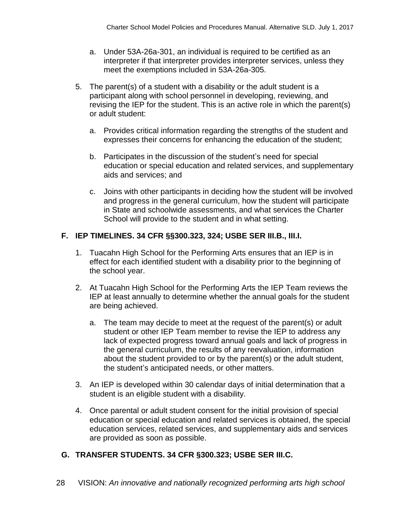- a. Under 53A-26a-301, an individual is required to be certified as an interpreter if that interpreter provides interpreter services, unless they meet the exemptions included in 53A-26a-305.
- 5. The parent(s) of a student with a disability or the adult student is a participant along with school personnel in developing, reviewing, and revising the IEP for the student. This is an active role in which the parent(s) or adult student:
	- a. Provides critical information regarding the strengths of the student and expresses their concerns for enhancing the education of the student;
	- b. Participates in the discussion of the student's need for special education or special education and related services, and supplementary aids and services; and
	- c. Joins with other participants in deciding how the student will be involved and progress in the general curriculum, how the student will participate in State and schoolwide assessments, and what services the Charter School will provide to the student and in what setting.

#### **F. IEP TIMELINES. 34 CFR §§300.323, 324; USBE SER III.B., III.I.**

- 1. Tuacahn High School for the Performing Arts ensures that an IEP is in effect for each identified student with a disability prior to the beginning of the school year.
- 2. At Tuacahn High School for the Performing Arts the IEP Team reviews the IEP at least annually to determine whether the annual goals for the student are being achieved.
	- a. The team may decide to meet at the request of the parent(s) or adult student or other IEP Team member to revise the IEP to address any lack of expected progress toward annual goals and lack of progress in the general curriculum, the results of any reevaluation, information about the student provided to or by the parent(s) or the adult student, the student's anticipated needs, or other matters.
- 3. An IEP is developed within 30 calendar days of initial determination that a student is an eligible student with a disability.
- 4. Once parental or adult student consent for the initial provision of special education or special education and related services is obtained, the special education services, related services, and supplementary aids and services are provided as soon as possible.

#### **G. TRANSFER STUDENTS. 34 CFR §300.323; USBE SER III.C.**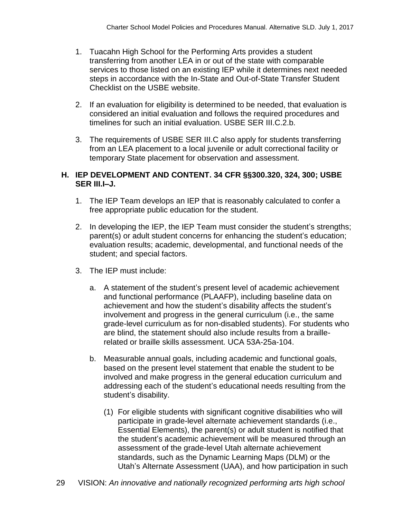- 1. Tuacahn High School for the Performing Arts provides a student transferring from another LEA in or out of the state with comparable services to those listed on an existing IEP while it determines next needed steps in accordance with the In-State and Out-of-State Transfer Student Checklist on the USBE website.
- 2. If an evaluation for eligibility is determined to be needed, that evaluation is considered an initial evaluation and follows the required procedures and timelines for such an initial evaluation. USBE SER III.C.2.b.
- 3. The requirements of USBE SER III.C also apply for students transferring from an LEA placement to a local juvenile or adult correctional facility or temporary State placement for observation and assessment.

#### **H. IEP DEVELOPMENT AND CONTENT. 34 CFR §§300.320, 324, 300; USBE SER III.I–J.**

- 1. The IEP Team develops an IEP that is reasonably calculated to confer a free appropriate public education for the student.
- 2. In developing the IEP, the IEP Team must consider the student's strengths; parent(s) or adult student concerns for enhancing the student's education; evaluation results; academic, developmental, and functional needs of the student; and special factors.
- 3. The IEP must include:
	- a. A statement of the student's present level of academic achievement and functional performance (PLAAFP), including baseline data on achievement and how the student's disability affects the student's involvement and progress in the general curriculum (i.e., the same grade-level curriculum as for non-disabled students). For students who are blind, the statement should also include results from a braillerelated or braille skills assessment. UCA 53A-25a-104.
	- b. Measurable annual goals, including academic and functional goals, based on the present level statement that enable the student to be involved and make progress in the general education curriculum and addressing each of the student's educational needs resulting from the student's disability.
		- (1) For eligible students with significant cognitive disabilities who will participate in grade-level alternate achievement standards (i.e., Essential Elements), the parent(s) or adult student is notified that the student's academic achievement will be measured through an assessment of the grade-level Utah alternate achievement standards, such as the Dynamic Learning Maps (DLM) or the Utah's Alternate Assessment (UAA), and how participation in such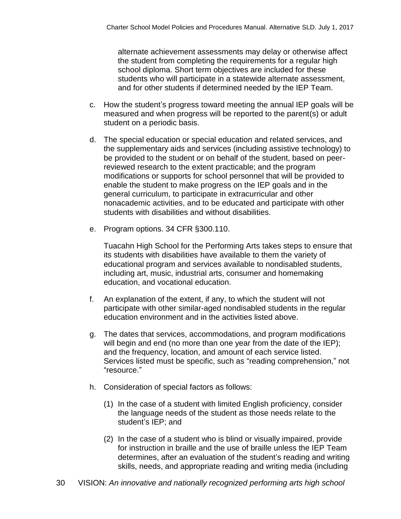alternate achievement assessments may delay or otherwise affect the student from completing the requirements for a regular high school diploma. Short term objectives are included for these students who will participate in a statewide alternate assessment, and for other students if determined needed by the IEP Team.

- c. How the student's progress toward meeting the annual IEP goals will be measured and when progress will be reported to the parent(s) or adult student on a periodic basis.
- d. The special education or special education and related services, and the supplementary aids and services (including assistive technology) to be provided to the student or on behalf of the student, based on peerreviewed research to the extent practicable; and the program modifications or supports for school personnel that will be provided to enable the student to make progress on the IEP goals and in the general curriculum, to participate in extracurricular and other nonacademic activities, and to be educated and participate with other students with disabilities and without disabilities.
- e. Program options. 34 CFR §300.110.

Tuacahn High School for the Performing Arts takes steps to ensure that its students with disabilities have available to them the variety of educational program and services available to nondisabled students, including art, music, industrial arts, consumer and homemaking education, and vocational education.

- f. An explanation of the extent, if any, to which the student will not participate with other similar-aged nondisabled students in the regular education environment and in the activities listed above.
- g. The dates that services, accommodations, and program modifications will begin and end (no more than one year from the date of the IEP); and the frequency, location, and amount of each service listed. Services listed must be specific, such as "reading comprehension," not "resource."
- h. Consideration of special factors as follows:
	- (1) In the case of a student with limited English proficiency, consider the language needs of the student as those needs relate to the student's IEP; and
	- (2) In the case of a student who is blind or visually impaired, provide for instruction in braille and the use of braille unless the IEP Team determines, after an evaluation of the student's reading and writing skills, needs, and appropriate reading and writing media (including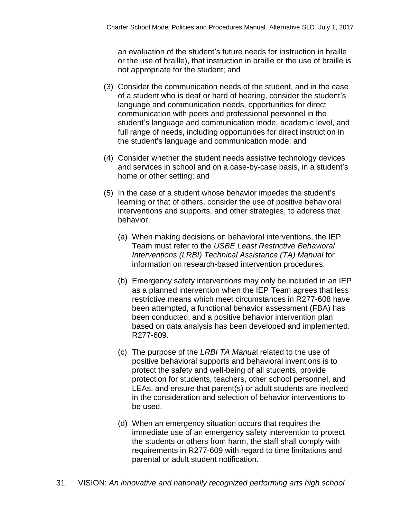an evaluation of the student's future needs for instruction in braille or the use of braille), that instruction in braille or the use of braille is not appropriate for the student; and

- (3) Consider the communication needs of the student, and in the case of a student who is deaf or hard of hearing, consider the student's language and communication needs, opportunities for direct communication with peers and professional personnel in the student's language and communication mode, academic level, and full range of needs, including opportunities for direct instruction in the student's language and communication mode; and
- (4) Consider whether the student needs assistive technology devices and services in school and on a case-by-case basis, in a student's home or other setting; and
- (5) In the case of a student whose behavior impedes the student's learning or that of others, consider the use of positive behavioral interventions and supports, and other strategies, to address that behavior.
	- (a) When making decisions on behavioral interventions, the IEP Team must refer to the *USBE Least Restrictive Behavioral Interventions (LRBI) Technical Assistance (TA) Manual* for information on research-based intervention procedures.
	- (b) Emergency safety interventions may only be included in an IEP as a planned intervention when the IEP Team agrees that less restrictive means which meet circumstances in R277-608 have been attempted, a functional behavior assessment (FBA) has been conducted, and a positive behavior intervention plan based on data analysis has been developed and implemented. R277-609.
	- (c) The purpose of the *LRBI TA Manua*l related to the use of positive behavioral supports and behavioral inventions is to protect the safety and well-being of all students, provide protection for students, teachers, other school personnel, and LEAs, and ensure that parent(s) or adult students are involved in the consideration and selection of behavior interventions to be used.
	- (d) When an emergency situation occurs that requires the immediate use of an emergency safety intervention to protect the students or others from harm, the staff shall comply with requirements in R277-609 with regard to time limitations and parental or adult student notification.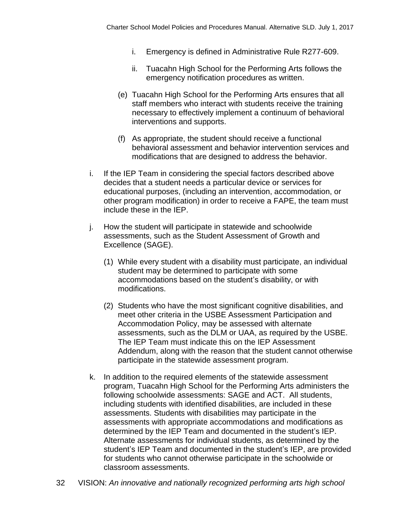- i. Emergency is defined in Administrative Rule R277-609.
- ii. Tuacahn High School for the Performing Arts follows the emergency notification procedures as written.
- (e) Tuacahn High School for the Performing Arts ensures that all staff members who interact with students receive the training necessary to effectively implement a continuum of behavioral interventions and supports.
- (f) As appropriate, the student should receive a functional behavioral assessment and behavior intervention services and modifications that are designed to address the behavior.
- i. If the IEP Team in considering the special factors described above decides that a student needs a particular device or services for educational purposes, (including an intervention, accommodation, or other program modification) in order to receive a FAPE, the team must include these in the IEP.
- j. How the student will participate in statewide and schoolwide assessments, such as the Student Assessment of Growth and Excellence (SAGE).
	- (1) While every student with a disability must participate, an individual student may be determined to participate with some accommodations based on the student's disability, or with modifications.
	- (2) Students who have the most significant cognitive disabilities, and meet other criteria in the USBE Assessment Participation and Accommodation Policy, may be assessed with alternate assessments, such as the DLM or UAA, as required by the USBE. The IEP Team must indicate this on the IEP Assessment Addendum, along with the reason that the student cannot otherwise participate in the statewide assessment program.
- k. In addition to the required elements of the statewide assessment program, Tuacahn High School for the Performing Arts administers the following schoolwide assessments: SAGE and ACT. All students, including students with identified disabilities, are included in these assessments. Students with disabilities may participate in the assessments with appropriate accommodations and modifications as determined by the IEP Team and documented in the student's IEP. Alternate assessments for individual students, as determined by the student's IEP Team and documented in the student's IEP, are provided for students who cannot otherwise participate in the schoolwide or classroom assessments.
- 32 VISION: *An innovative and nationally recognized performing arts high school*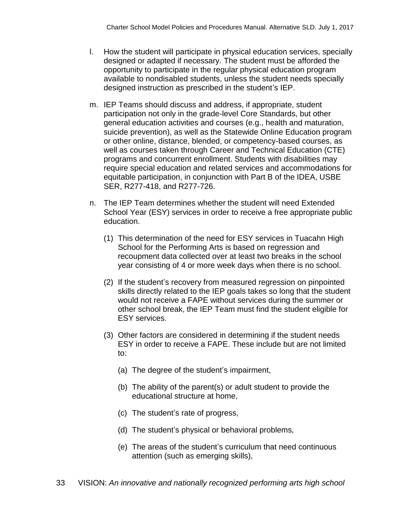- l. How the student will participate in physical education services, specially designed or adapted if necessary. The student must be afforded the opportunity to participate in the regular physical education program available to nondisabled students, unless the student needs specially designed instruction as prescribed in the student's IEP.
- m. IEP Teams should discuss and address, if appropriate, student participation not only in the grade-level Core Standards, but other general education activities and courses (e.g., health and maturation, suicide prevention), as well as the Statewide Online Education program or other online, distance, blended, or competency-based courses, as well as courses taken through Career and Technical Education (CTE) programs and concurrent enrollment. Students with disabilities may require special education and related services and accommodations for equitable participation, in conjunction with Part B of the IDEA, USBE SER, R277-418, and R277-726.
- n. The IEP Team determines whether the student will need Extended School Year (ESY) services in order to receive a free appropriate public education.
	- (1) This determination of the need for ESY services in Tuacahn High School for the Performing Arts is based on regression and recoupment data collected over at least two breaks in the school year consisting of 4 or more week days when there is no school.
	- (2) If the student's recovery from measured regression on pinpointed skills directly related to the IEP goals takes so long that the student would not receive a FAPE without services during the summer or other school break, the IEP Team must find the student eligible for ESY services.
	- (3) Other factors are considered in determining if the student needs ESY in order to receive a FAPE. These include but are not limited to:
		- (a) The degree of the student's impairment,
		- (b) The ability of the parent(s) or adult student to provide the educational structure at home,
		- (c) The student's rate of progress,
		- (d) The student's physical or behavioral problems,
		- (e) The areas of the student's curriculum that need continuous attention (such as emerging skills),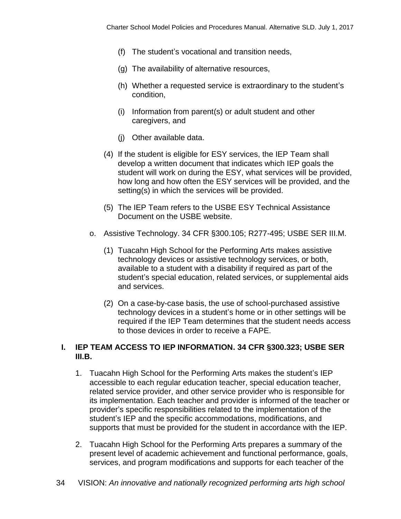- (f) The student's vocational and transition needs,
- (g) The availability of alternative resources,
- (h) Whether a requested service is extraordinary to the student's condition,
- (i) Information from parent(s) or adult student and other caregivers, and
- (j) Other available data.
- (4) If the student is eligible for ESY services, the IEP Team shall develop a written document that indicates which IEP goals the student will work on during the ESY, what services will be provided, how long and how often the ESY services will be provided, and the setting(s) in which the services will be provided.
- (5) The IEP Team refers to the USBE ESY Technical Assistance Document on the USBE website.
- o. Assistive Technology. 34 CFR §300.105; R277-495; USBE SER III.M.
	- (1) Tuacahn High School for the Performing Arts makes assistive technology devices or assistive technology services, or both, available to a student with a disability if required as part of the student's special education, related services, or supplemental aids and services.
	- (2) On a case-by-case basis, the use of school-purchased assistive technology devices in a student's home or in other settings will be required if the IEP Team determines that the student needs access to those devices in order to receive a FAPE.

#### **I. IEP TEAM ACCESS TO IEP INFORMATION. 34 CFR §300.323; USBE SER III.B.**

- 1. Tuacahn High School for the Performing Arts makes the student's IEP accessible to each regular education teacher, special education teacher, related service provider, and other service provider who is responsible for its implementation. Each teacher and provider is informed of the teacher or provider's specific responsibilities related to the implementation of the student's IEP and the specific accommodations, modifications, and supports that must be provided for the student in accordance with the IEP.
- 2. Tuacahn High School for the Performing Arts prepares a summary of the present level of academic achievement and functional performance, goals, services, and program modifications and supports for each teacher of the
- 34 VISION: *An innovative and nationally recognized performing arts high school*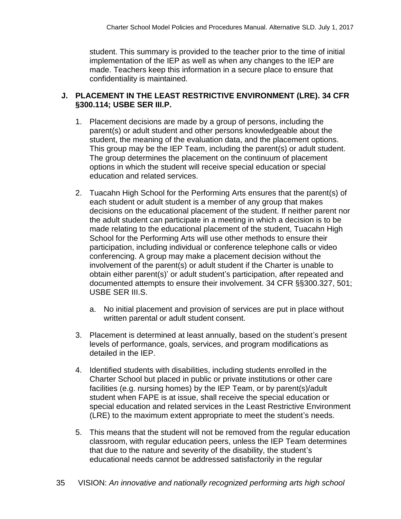student. This summary is provided to the teacher prior to the time of initial implementation of the IEP as well as when any changes to the IEP are made. Teachers keep this information in a secure place to ensure that confidentiality is maintained.

## **J. PLACEMENT IN THE LEAST RESTRICTIVE ENVIRONMENT (LRE). 34 CFR §300.114; USBE SER III.P.**

- 1. Placement decisions are made by a group of persons, including the parent(s) or adult student and other persons knowledgeable about the student, the meaning of the evaluation data, and the placement options. This group may be the IEP Team, including the parent(s) or adult student. The group determines the placement on the continuum of placement options in which the student will receive special education or special education and related services.
- 2. Tuacahn High School for the Performing Arts ensures that the parent(s) of each student or adult student is a member of any group that makes decisions on the educational placement of the student. If neither parent nor the adult student can participate in a meeting in which a decision is to be made relating to the educational placement of the student, Tuacahn High School for the Performing Arts will use other methods to ensure their participation, including individual or conference telephone calls or video conferencing. A group may make a placement decision without the involvement of the parent(s) or adult student if the Charter is unable to obtain either parent(s)' or adult student's participation, after repeated and documented attempts to ensure their involvement. 34 CFR §§300.327, 501; USBE SER III.S.
	- a. No initial placement and provision of services are put in place without written parental or adult student consent.
- 3. Placement is determined at least annually, based on the student's present levels of performance, goals, services, and program modifications as detailed in the IEP.
- 4. Identified students with disabilities, including students enrolled in the Charter School but placed in public or private institutions or other care facilities (e.g. nursing homes) by the IEP Team, or by parent(s)/adult student when FAPE is at issue, shall receive the special education or special education and related services in the Least Restrictive Environment (LRE) to the maximum extent appropriate to meet the student's needs.
- 5. This means that the student will not be removed from the regular education classroom, with regular education peers, unless the IEP Team determines that due to the nature and severity of the disability, the student's educational needs cannot be addressed satisfactorily in the regular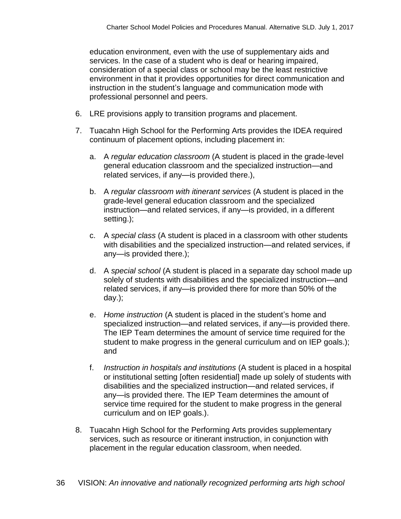education environment, even with the use of supplementary aids and services. In the case of a student who is deaf or hearing impaired, consideration of a special class or school may be the least restrictive environment in that it provides opportunities for direct communication and instruction in the student's language and communication mode with professional personnel and peers.

- 6. LRE provisions apply to transition programs and placement.
- 7. Tuacahn High School for the Performing Arts provides the IDEA required continuum of placement options, including placement in:
	- a. A *regular education classroom* (A student is placed in the grade-level general education classroom and the specialized instruction—and related services, if any—is provided there.),
	- b. A *regular classroom with itinerant services* (A student is placed in the grade-level general education classroom and the specialized instruction—and related services, if any—is provided, in a different setting.);
	- c. A *special class* (A student is placed in a classroom with other students with disabilities and the specialized instruction—and related services, if any—is provided there.);
	- d. A *special school* (A student is placed in a separate day school made up solely of students with disabilities and the specialized instruction—and related services, if any—is provided there for more than 50% of the day.);
	- e. *Home instruction* (A student is placed in the student's home and specialized instruction—and related services, if any—is provided there. The IEP Team determines the amount of service time required for the student to make progress in the general curriculum and on IEP goals.); and
	- f. *Instruction in hospitals and institutions* (A student is placed in a hospital or institutional setting [often residential] made up solely of students with disabilities and the specialized instruction—and related services, if any—is provided there. The IEP Team determines the amount of service time required for the student to make progress in the general curriculum and on IEP goals.).
- 8. Tuacahn High School for the Performing Arts provides supplementary services, such as resource or itinerant instruction, in conjunction with placement in the regular education classroom, when needed.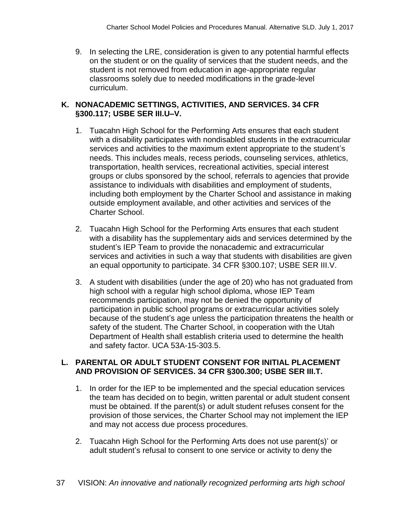9. In selecting the LRE, consideration is given to any potential harmful effects on the student or on the quality of services that the student needs, and the student is not removed from education in age-appropriate regular classrooms solely due to needed modifications in the grade-level curriculum.

#### **K. NONACADEMIC SETTINGS, ACTIVITIES, AND SERVICES. 34 CFR §300.117; USBE SER III.U–V.**

- 1. Tuacahn High School for the Performing Arts ensures that each student with a disability participates with nondisabled students in the extracurricular services and activities to the maximum extent appropriate to the student's needs. This includes meals, recess periods, counseling services, athletics, transportation, health services, recreational activities, special interest groups or clubs sponsored by the school, referrals to agencies that provide assistance to individuals with disabilities and employment of students, including both employment by the Charter School and assistance in making outside employment available, and other activities and services of the Charter School.
- 2. Tuacahn High School for the Performing Arts ensures that each student with a disability has the supplementary aids and services determined by the student's IEP Team to provide the nonacademic and extracurricular services and activities in such a way that students with disabilities are given an equal opportunity to participate. 34 CFR §300.107; USBE SER III.V.
- 3. A student with disabilities (under the age of 20) who has not graduated from high school with a regular high school diploma, whose IEP Team recommends participation, may not be denied the opportunity of participation in public school programs or extracurricular activities solely because of the student's age unless the participation threatens the health or safety of the student. The Charter School, in cooperation with the Utah Department of Health shall establish criteria used to determine the health and safety factor. UCA 53A-15-303.5.

#### **L. PARENTAL OR ADULT STUDENT CONSENT FOR INITIAL PLACEMENT AND PROVISION OF SERVICES. 34 CFR §300.300; USBE SER III.T.**

- 1. In order for the IEP to be implemented and the special education services the team has decided on to begin, written parental or adult student consent must be obtained. If the parent(s) or adult student refuses consent for the provision of those services, the Charter School may not implement the IEP and may not access due process procedures.
- 2. Tuacahn High School for the Performing Arts does not use parent(s)' or adult student's refusal to consent to one service or activity to deny the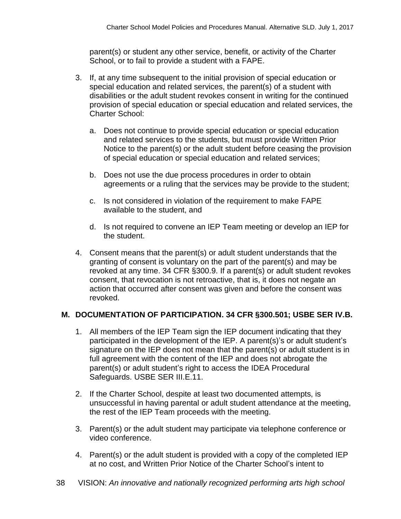parent(s) or student any other service, benefit, or activity of the Charter School, or to fail to provide a student with a FAPE.

- 3. If, at any time subsequent to the initial provision of special education or special education and related services, the parent(s) of a student with disabilities or the adult student revokes consent in writing for the continued provision of special education or special education and related services, the Charter School:
	- a. Does not continue to provide special education or special education and related services to the students, but must provide Written Prior Notice to the parent(s) or the adult student before ceasing the provision of special education or special education and related services;
	- b. Does not use the due process procedures in order to obtain agreements or a ruling that the services may be provide to the student;
	- c. Is not considered in violation of the requirement to make FAPE available to the student, and
	- d. Is not required to convene an IEP Team meeting or develop an IEP for the student.
- 4. Consent means that the parent(s) or adult student understands that the granting of consent is voluntary on the part of the parent(s) and may be revoked at any time. 34 CFR §300.9. If a parent(s) or adult student revokes consent, that revocation is not retroactive, that is, it does not negate an action that occurred after consent was given and before the consent was revoked.

# **M. DOCUMENTATION OF PARTICIPATION. 34 CFR §300.501; USBE SER IV.B.**

- 1. All members of the IEP Team sign the IEP document indicating that they participated in the development of the IEP. A parent(s)'s or adult student's signature on the IEP does not mean that the parent(s) or adult student is in full agreement with the content of the IEP and does not abrogate the parent(s) or adult student's right to access the IDEA Procedural Safeguards. USBE SER III.E.11.
- 2. If the Charter School, despite at least two documented attempts, is unsuccessful in having parental or adult student attendance at the meeting, the rest of the IEP Team proceeds with the meeting.
- 3. Parent(s) or the adult student may participate via telephone conference or video conference.
- 4. Parent(s) or the adult student is provided with a copy of the completed IEP at no cost, and Written Prior Notice of the Charter School's intent to
- 38 VISION: *An innovative and nationally recognized performing arts high school*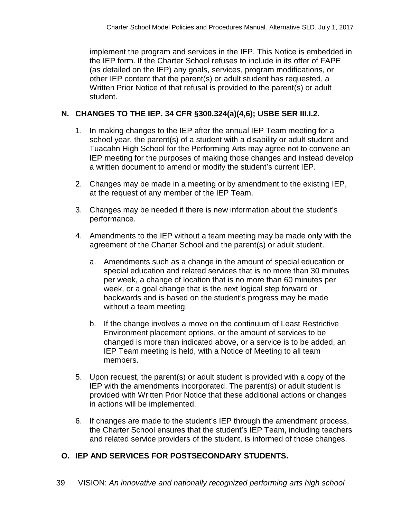implement the program and services in the IEP. This Notice is embedded in the IEP form. If the Charter School refuses to include in its offer of FAPE (as detailed on the IEP) any goals, services, program modifications, or other IEP content that the parent(s) or adult student has requested, a Written Prior Notice of that refusal is provided to the parent(s) or adult student.

#### **N. CHANGES TO THE IEP. 34 CFR §300.324(a)(4,6); USBE SER III.I.2.**

- 1. In making changes to the IEP after the annual IEP Team meeting for a school year, the parent(s) of a student with a disability or adult student and Tuacahn High School for the Performing Arts may agree not to convene an IEP meeting for the purposes of making those changes and instead develop a written document to amend or modify the student's current IEP.
- 2. Changes may be made in a meeting or by amendment to the existing IEP, at the request of any member of the IEP Team.
- 3. Changes may be needed if there is new information about the student's performance.
- 4. Amendments to the IEP without a team meeting may be made only with the agreement of the Charter School and the parent(s) or adult student.
	- a. Amendments such as a change in the amount of special education or special education and related services that is no more than 30 minutes per week, a change of location that is no more than 60 minutes per week, or a goal change that is the next logical step forward or backwards and is based on the student's progress may be made without a team meeting.
	- b. If the change involves a move on the continuum of Least Restrictive Environment placement options, or the amount of services to be changed is more than indicated above, or a service is to be added, an IEP Team meeting is held, with a Notice of Meeting to all team members.
- 5. Upon request, the parent(s) or adult student is provided with a copy of the IEP with the amendments incorporated. The parent(s) or adult student is provided with Written Prior Notice that these additional actions or changes in actions will be implemented.
- 6. If changes are made to the student's IEP through the amendment process, the Charter School ensures that the student's IEP Team, including teachers and related service providers of the student, is informed of those changes.

#### **O. IEP AND SERVICES FOR POSTSECONDARY STUDENTS.**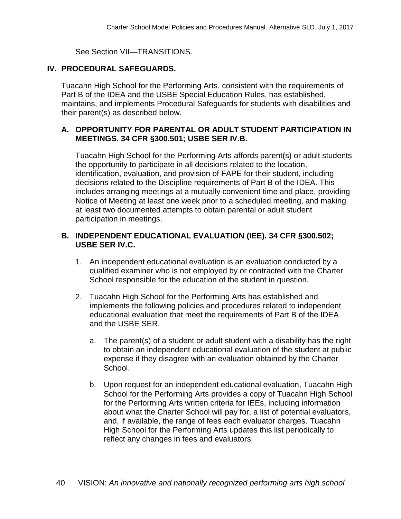See Section VII—TRANSITIONS.

#### **IV. PROCEDURAL SAFEGUARDS.**

Tuacahn High School for the Performing Arts, consistent with the requirements of Part B of the IDEA and the USBE Special Education Rules, has established, maintains, and implements Procedural Safeguards for students with disabilities and their parent(s) as described below.

#### **A. OPPORTUNITY FOR PARENTAL OR ADULT STUDENT PARTICIPATION IN MEETINGS. 34 CFR §300.501; USBE SER IV.B.**

Tuacahn High School for the Performing Arts affords parent(s) or adult students the opportunity to participate in all decisions related to the location, identification, evaluation, and provision of FAPE for their student, including decisions related to the Discipline requirements of Part B of the IDEA. This includes arranging meetings at a mutually convenient time and place, providing Notice of Meeting at least one week prior to a scheduled meeting, and making at least two documented attempts to obtain parental or adult student participation in meetings.

#### **B. INDEPENDENT EDUCATIONAL EVALUATION (IEE). 34 CFR §300.502; USBE SER IV.C.**

- 1. An independent educational evaluation is an evaluation conducted by a qualified examiner who is not employed by or contracted with the Charter School responsible for the education of the student in question.
- 2. Tuacahn High School for the Performing Arts has established and implements the following policies and procedures related to independent educational evaluation that meet the requirements of Part B of the IDEA and the USBE SER.
	- a. The parent(s) of a student or adult student with a disability has the right to obtain an independent educational evaluation of the student at public expense if they disagree with an evaluation obtained by the Charter School.
	- b. Upon request for an independent educational evaluation, Tuacahn High School for the Performing Arts provides a copy of Tuacahn High School for the Performing Arts written criteria for IEEs, including information about what the Charter School will pay for, a list of potential evaluators, and, if available, the range of fees each evaluator charges. Tuacahn High School for the Performing Arts updates this list periodically to reflect any changes in fees and evaluators.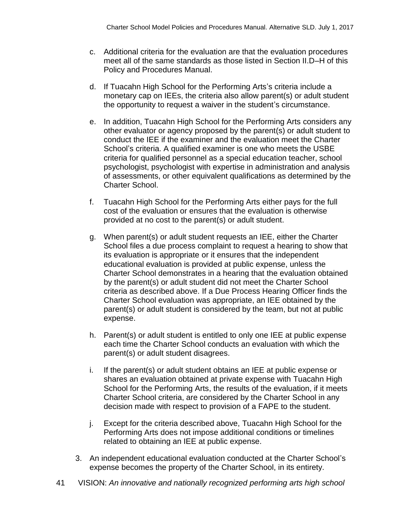- c. Additional criteria for the evaluation are that the evaluation procedures meet all of the same standards as those listed in Section II.D–H of this Policy and Procedures Manual.
- d. If Tuacahn High School for the Performing Arts's criteria include a monetary cap on IEEs, the criteria also allow parent(s) or adult student the opportunity to request a waiver in the student's circumstance.
- e. In addition, Tuacahn High School for the Performing Arts considers any other evaluator or agency proposed by the parent(s) or adult student to conduct the IEE if the examiner and the evaluation meet the Charter School's criteria. A qualified examiner is one who meets the USBE criteria for qualified personnel as a special education teacher, school psychologist, psychologist with expertise in administration and analysis of assessments, or other equivalent qualifications as determined by the Charter School.
- f. Tuacahn High School for the Performing Arts either pays for the full cost of the evaluation or ensures that the evaluation is otherwise provided at no cost to the parent(s) or adult student.
- g. When parent(s) or adult student requests an IEE, either the Charter School files a due process complaint to request a hearing to show that its evaluation is appropriate or it ensures that the independent educational evaluation is provided at public expense, unless the Charter School demonstrates in a hearing that the evaluation obtained by the parent(s) or adult student did not meet the Charter School criteria as described above. If a Due Process Hearing Officer finds the Charter School evaluation was appropriate, an IEE obtained by the parent(s) or adult student is considered by the team, but not at public expense.
- h. Parent(s) or adult student is entitled to only one IEE at public expense each time the Charter School conducts an evaluation with which the parent(s) or adult student disagrees.
- i. If the parent(s) or adult student obtains an IEE at public expense or shares an evaluation obtained at private expense with Tuacahn High School for the Performing Arts, the results of the evaluation, if it meets Charter School criteria, are considered by the Charter School in any decision made with respect to provision of a FAPE to the student.
- j. Except for the criteria described above, Tuacahn High School for the Performing Arts does not impose additional conditions or timelines related to obtaining an IEE at public expense.
- 3. An independent educational evaluation conducted at the Charter School's expense becomes the property of the Charter School, in its entirety.
- 41 VISION: *An innovative and nationally recognized performing arts high school*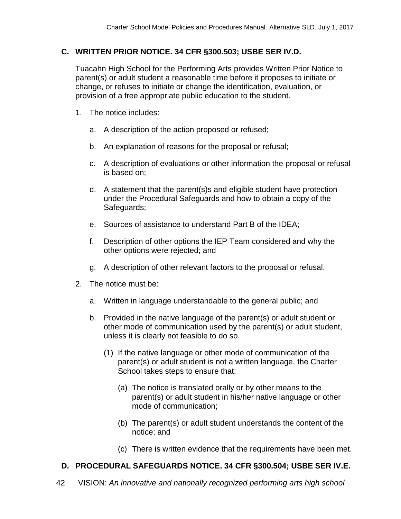#### **C. WRITTEN PRIOR NOTICE. 34 CFR §300.503; USBE SER IV.D.**

Tuacahn High School for the Performing Arts provides Written Prior Notice to parent(s) or adult student a reasonable time before it proposes to initiate or change, or refuses to initiate or change the identification, evaluation, or provision of a free appropriate public education to the student.

- 1. The notice includes:
	- a. A description of the action proposed or refused;
	- b. An explanation of reasons for the proposal or refusal;
	- c. A description of evaluations or other information the proposal or refusal is based on;
	- d. A statement that the parent(s)s and eligible student have protection under the Procedural Safeguards and how to obtain a copy of the Safeguards;
	- e. Sources of assistance to understand Part B of the IDEA;
	- f. Description of other options the IEP Team considered and why the other options were rejected; and
	- g. A description of other relevant factors to the proposal or refusal.
- 2. The notice must be:
	- a. Written in language understandable to the general public; and
	- b. Provided in the native language of the parent(s) or adult student or other mode of communication used by the parent(s) or adult student, unless it is clearly not feasible to do so.
		- (1) If the native language or other mode of communication of the parent(s) or adult student is not a written language, the Charter School takes steps to ensure that:
			- (a) The notice is translated orally or by other means to the parent(s) or adult student in his/her native language or other mode of communication;
			- (b) The parent(s) or adult student understands the content of the notice; and
			- (c) There is written evidence that the requirements have been met.

#### **D. PROCEDURAL SAFEGUARDS NOTICE. 34 CFR §300.504; USBE SER IV.E.**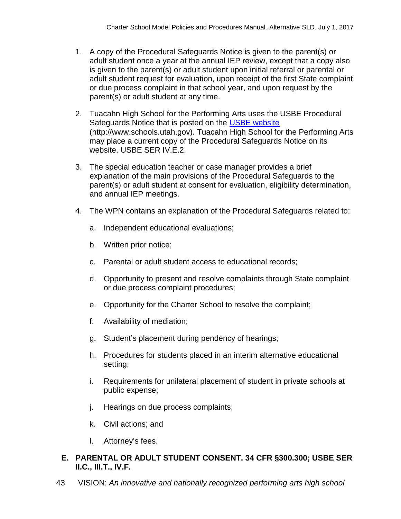- 1. A copy of the Procedural Safeguards Notice is given to the parent(s) or adult student once a year at the annual IEP review, except that a copy also is given to the parent(s) or adult student upon initial referral or parental or adult student request for evaluation, upon receipt of the first State complaint or due process complaint in that school year, and upon request by the parent(s) or adult student at any time.
- 2. Tuacahn High School for the Performing Arts uses the USBE Procedural Safeguards Notice that is posted on the [USBE website](http://www.schools.utah.gov/) (http://www.schools.utah.gov). Tuacahn High School for the Performing Arts may place a current copy of the Procedural Safeguards Notice on its website. USBE SER IV.E.2.
- 3. The special education teacher or case manager provides a brief explanation of the main provisions of the Procedural Safeguards to the parent(s) or adult student at consent for evaluation, eligibility determination, and annual IEP meetings.
- 4. The WPN contains an explanation of the Procedural Safeguards related to:
	- a. Independent educational evaluations;
	- b. Written prior notice;
	- c. Parental or adult student access to educational records;
	- d. Opportunity to present and resolve complaints through State complaint or due process complaint procedures;
	- e. Opportunity for the Charter School to resolve the complaint;
	- f. Availability of mediation;
	- g. Student's placement during pendency of hearings;
	- h. Procedures for students placed in an interim alternative educational setting;
	- i. Requirements for unilateral placement of student in private schools at public expense;
	- j. Hearings on due process complaints;
	- k. Civil actions; and
	- l. Attorney's fees.

# **E. PARENTAL OR ADULT STUDENT CONSENT. 34 CFR §300.300; USBE SER II.C., III.T., IV.F.**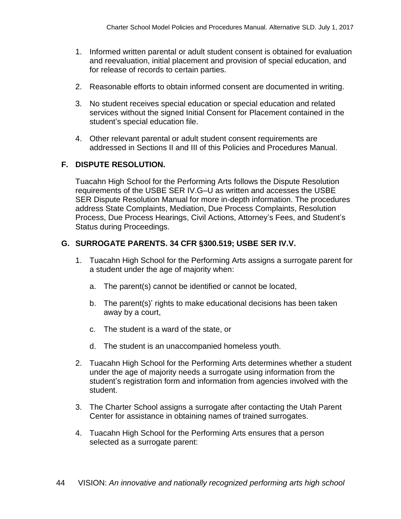- 1. Informed written parental or adult student consent is obtained for evaluation and reevaluation, initial placement and provision of special education, and for release of records to certain parties.
- 2. Reasonable efforts to obtain informed consent are documented in writing.
- 3. No student receives special education or special education and related services without the signed Initial Consent for Placement contained in the student's special education file.
- 4. Other relevant parental or adult student consent requirements are addressed in Sections II and III of this Policies and Procedures Manual.

# **F. DISPUTE RESOLUTION.**

Tuacahn High School for the Performing Arts follows the Dispute Resolution requirements of the USBE SER IV.G–U as written and accesses the USBE SER Dispute Resolution Manual for more in-depth information. The procedures address State Complaints, Mediation, Due Process Complaints, Resolution Process, Due Process Hearings, Civil Actions, Attorney's Fees, and Student's Status during Proceedings.

# **G. SURROGATE PARENTS. 34 CFR §300.519; USBE SER IV.V.**

- 1. Tuacahn High School for the Performing Arts assigns a surrogate parent for a student under the age of majority when:
	- a. The parent(s) cannot be identified or cannot be located,
	- b. The parent(s)' rights to make educational decisions has been taken away by a court,
	- c. The student is a ward of the state, or
	- d. The student is an unaccompanied homeless youth.
- 2. Tuacahn High School for the Performing Arts determines whether a student under the age of majority needs a surrogate using information from the student's registration form and information from agencies involved with the student.
- 3. The Charter School assigns a surrogate after contacting the Utah Parent Center for assistance in obtaining names of trained surrogates.
- 4. Tuacahn High School for the Performing Arts ensures that a person selected as a surrogate parent: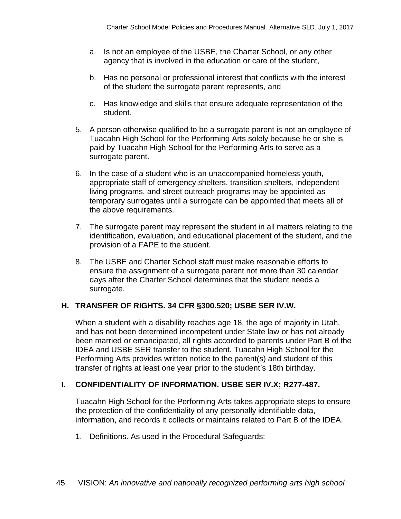- a. Is not an employee of the USBE, the Charter School, or any other agency that is involved in the education or care of the student,
- b. Has no personal or professional interest that conflicts with the interest of the student the surrogate parent represents, and
- c. Has knowledge and skills that ensure adequate representation of the student.
- 5. A person otherwise qualified to be a surrogate parent is not an employee of Tuacahn High School for the Performing Arts solely because he or she is paid by Tuacahn High School for the Performing Arts to serve as a surrogate parent.
- 6. In the case of a student who is an unaccompanied homeless youth, appropriate staff of emergency shelters, transition shelters, independent living programs, and street outreach programs may be appointed as temporary surrogates until a surrogate can be appointed that meets all of the above requirements.
- 7. The surrogate parent may represent the student in all matters relating to the identification, evaluation, and educational placement of the student, and the provision of a FAPE to the student.
- 8. The USBE and Charter School staff must make reasonable efforts to ensure the assignment of a surrogate parent not more than 30 calendar days after the Charter School determines that the student needs a surrogate.

# **H. TRANSFER OF RIGHTS. 34 CFR §300.520; USBE SER IV.W.**

When a student with a disability reaches age 18, the age of majority in Utah, and has not been determined incompetent under State law or has not already been married or emancipated, all rights accorded to parents under Part B of the IDEA and USBE SER transfer to the student. Tuacahn High School for the Performing Arts provides written notice to the parent(s) and student of this transfer of rights at least one year prior to the student's 18th birthday.

# **I. CONFIDENTIALITY OF INFORMATION. USBE SER IV.X; R277-487.**

Tuacahn High School for the Performing Arts takes appropriate steps to ensure the protection of the confidentiality of any personally identifiable data, information, and records it collects or maintains related to Part B of the IDEA.

1. Definitions. As used in the Procedural Safeguards: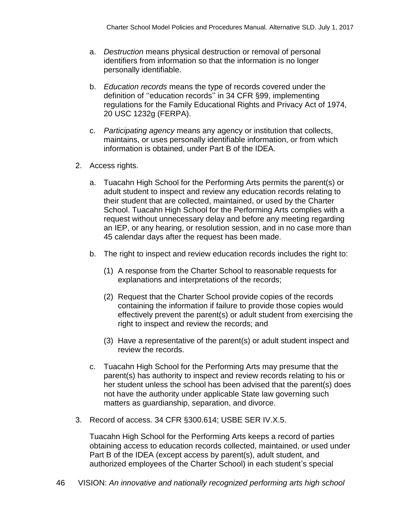- a. *Destruction* means physical destruction or removal of personal identifiers from information so that the information is no longer personally identifiable.
- b. *Education records* means the type of records covered under the definition of ''education records'' in 34 CFR §99, implementing regulations for the Family Educational Rights and Privacy Act of 1974, 20 USC 1232g (FERPA).
- c. *Participating agency* means any agency or institution that collects, maintains, or uses personally identifiable information, or from which information is obtained, under Part B of the IDEA.
- 2. Access rights.
	- a. Tuacahn High School for the Performing Arts permits the parent(s) or adult student to inspect and review any education records relating to their student that are collected, maintained, or used by the Charter School. Tuacahn High School for the Performing Arts complies with a request without unnecessary delay and before any meeting regarding an IEP, or any hearing, or resolution session, and in no case more than 45 calendar days after the request has been made.
	- b. The right to inspect and review education records includes the right to:
		- (1) A response from the Charter School to reasonable requests for explanations and interpretations of the records;
		- (2) Request that the Charter School provide copies of the records containing the information if failure to provide those copies would effectively prevent the parent(s) or adult student from exercising the right to inspect and review the records; and
		- (3) Have a representative of the parent(s) or adult student inspect and review the records.
	- c. Tuacahn High School for the Performing Arts may presume that the parent(s) has authority to inspect and review records relating to his or her student unless the school has been advised that the parent(s) does not have the authority under applicable State law governing such matters as guardianship, separation, and divorce.
- 3. Record of access. 34 CFR §300.614; USBE SER IV.X.5.

Tuacahn High School for the Performing Arts keeps a record of parties obtaining access to education records collected, maintained, or used under Part B of the IDEA (except access by parent(s), adult student, and authorized employees of the Charter School) in each student's special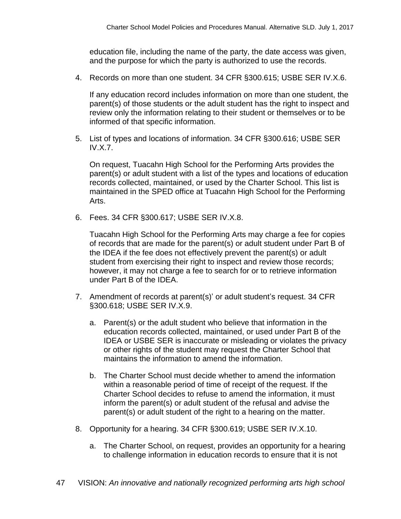education file, including the name of the party, the date access was given, and the purpose for which the party is authorized to use the records.

4. Records on more than one student. 34 CFR §300.615; USBE SER IV.X.6.

If any education record includes information on more than one student, the parent(s) of those students or the adult student has the right to inspect and review only the information relating to their student or themselves or to be informed of that specific information.

5. List of types and locations of information. 34 CFR §300.616; USBE SER IV.X.7.

On request, Tuacahn High School for the Performing Arts provides the parent(s) or adult student with a list of the types and locations of education records collected, maintained, or used by the Charter School. This list is maintained in the SPED office at Tuacahn High School for the Performing Arts.

6. Fees. 34 CFR §300.617; USBE SER IV.X.8.

Tuacahn High School for the Performing Arts may charge a fee for copies of records that are made for the parent(s) or adult student under Part B of the IDEA if the fee does not effectively prevent the parent(s) or adult student from exercising their right to inspect and review those records; however, it may not charge a fee to search for or to retrieve information under Part B of the IDEA.

- 7. Amendment of records at parent(s)' or adult student's request. 34 CFR §300.618; USBE SER IV.X.9.
	- a. Parent(s) or the adult student who believe that information in the education records collected, maintained, or used under Part B of the IDEA or USBE SER is inaccurate or misleading or violates the privacy or other rights of the student may request the Charter School that maintains the information to amend the information.
	- b. The Charter School must decide whether to amend the information within a reasonable period of time of receipt of the request. If the Charter School decides to refuse to amend the information, it must inform the parent(s) or adult student of the refusal and advise the parent(s) or adult student of the right to a hearing on the matter.
- 8. Opportunity for a hearing. 34 CFR §300.619; USBE SER IV.X.10.
	- a. The Charter School, on request, provides an opportunity for a hearing to challenge information in education records to ensure that it is not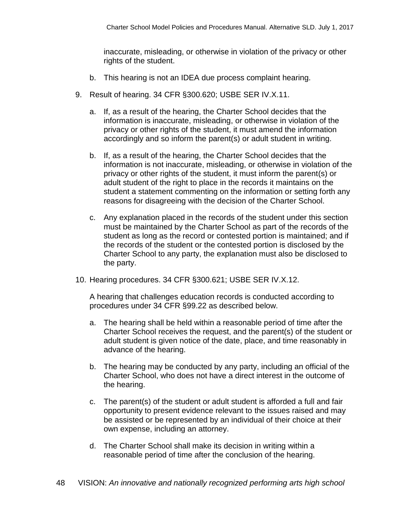inaccurate, misleading, or otherwise in violation of the privacy or other rights of the student.

- b. This hearing is not an IDEA due process complaint hearing.
- 9. Result of hearing. 34 CFR §300.620; USBE SER IV.X.11.
	- a. If, as a result of the hearing, the Charter School decides that the information is inaccurate, misleading, or otherwise in violation of the privacy or other rights of the student, it must amend the information accordingly and so inform the parent(s) or adult student in writing.
	- b. If, as a result of the hearing, the Charter School decides that the information is not inaccurate, misleading, or otherwise in violation of the privacy or other rights of the student, it must inform the parent(s) or adult student of the right to place in the records it maintains on the student a statement commenting on the information or setting forth any reasons for disagreeing with the decision of the Charter School.
	- c. Any explanation placed in the records of the student under this section must be maintained by the Charter School as part of the records of the student as long as the record or contested portion is maintained; and if the records of the student or the contested portion is disclosed by the Charter School to any party, the explanation must also be disclosed to the party.
- 10. Hearing procedures. 34 CFR §300.621; USBE SER IV.X.12.

A hearing that challenges education records is conducted according to procedures under 34 CFR §99.22 as described below.

- a. The hearing shall be held within a reasonable period of time after the Charter School receives the request, and the parent(s) of the student or adult student is given notice of the date, place, and time reasonably in advance of the hearing.
- b. The hearing may be conducted by any party, including an official of the Charter School, who does not have a direct interest in the outcome of the hearing.
- c. The parent(s) of the student or adult student is afforded a full and fair opportunity to present evidence relevant to the issues raised and may be assisted or be represented by an individual of their choice at their own expense, including an attorney.
- d. The Charter School shall make its decision in writing within a reasonable period of time after the conclusion of the hearing.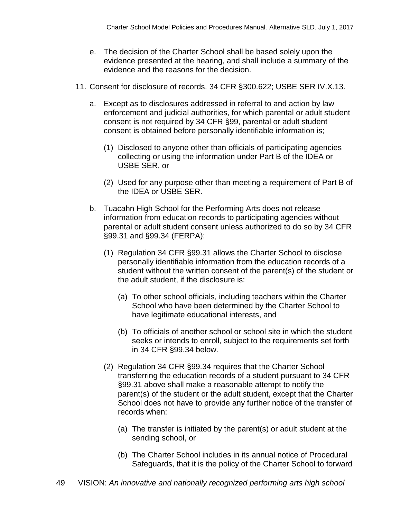- e. The decision of the Charter School shall be based solely upon the evidence presented at the hearing, and shall include a summary of the evidence and the reasons for the decision.
- 11. Consent for disclosure of records. 34 CFR §300.622; USBE SER IV.X.13.
	- a. Except as to disclosures addressed in referral to and action by law enforcement and judicial authorities, for which parental or adult student consent is not required by 34 CFR §99, parental or adult student consent is obtained before personally identifiable information is;
		- (1) Disclosed to anyone other than officials of participating agencies collecting or using the information under Part B of the IDEA or USBE SER, or
		- (2) Used for any purpose other than meeting a requirement of Part B of the IDEA or USBE SER.
	- b. Tuacahn High School for the Performing Arts does not release information from education records to participating agencies without parental or adult student consent unless authorized to do so by 34 CFR §99.31 and §99.34 (FERPA):
		- (1) Regulation 34 CFR §99.31 allows the Charter School to disclose personally identifiable information from the education records of a student without the written consent of the parent(s) of the student or the adult student, if the disclosure is:
			- (a) To other school officials, including teachers within the Charter School who have been determined by the Charter School to have legitimate educational interests, and
			- (b) To officials of another school or school site in which the student seeks or intends to enroll, subject to the requirements set forth in 34 CFR §99.34 below.
		- (2) Regulation 34 CFR §99.34 requires that the Charter School transferring the education records of a student pursuant to 34 CFR §99.31 above shall make a reasonable attempt to notify the parent(s) of the student or the adult student, except that the Charter School does not have to provide any further notice of the transfer of records when:
			- (a) The transfer is initiated by the parent(s) or adult student at the sending school, or
			- (b) The Charter School includes in its annual notice of Procedural Safeguards, that it is the policy of the Charter School to forward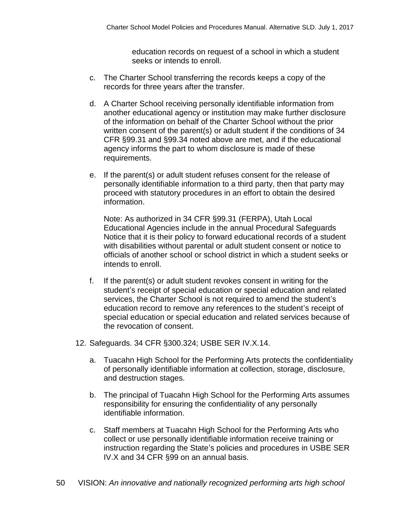education records on request of a school in which a student seeks or intends to enroll.

- c. The Charter School transferring the records keeps a copy of the records for three years after the transfer.
- d. A Charter School receiving personally identifiable information from another educational agency or institution may make further disclosure of the information on behalf of the Charter School without the prior written consent of the parent(s) or adult student if the conditions of 34 CFR §99.31 and §99.34 noted above are met, and if the educational agency informs the part to whom disclosure is made of these requirements.
- e. If the parent(s) or adult student refuses consent for the release of personally identifiable information to a third party, then that party may proceed with statutory procedures in an effort to obtain the desired information.

Note: As authorized in 34 CFR §99.31 (FERPA), Utah Local Educational Agencies include in the annual Procedural Safeguards Notice that it is their policy to forward educational records of a student with disabilities without parental or adult student consent or notice to officials of another school or school district in which a student seeks or intends to enroll.

- f. If the parent(s) or adult student revokes consent in writing for the student's receipt of special education or special education and related services, the Charter School is not required to amend the student's education record to remove any references to the student's receipt of special education or special education and related services because of the revocation of consent.
- 12. Safeguards. 34 CFR §300.324; USBE SER IV.X.14.
	- a. Tuacahn High School for the Performing Arts protects the confidentiality of personally identifiable information at collection, storage, disclosure, and destruction stages.
	- b. The principal of Tuacahn High School for the Performing Arts assumes responsibility for ensuring the confidentiality of any personally identifiable information.
	- c. Staff members at Tuacahn High School for the Performing Arts who collect or use personally identifiable information receive training or instruction regarding the State's policies and procedures in USBE SER IV.X and 34 CFR §99 on an annual basis.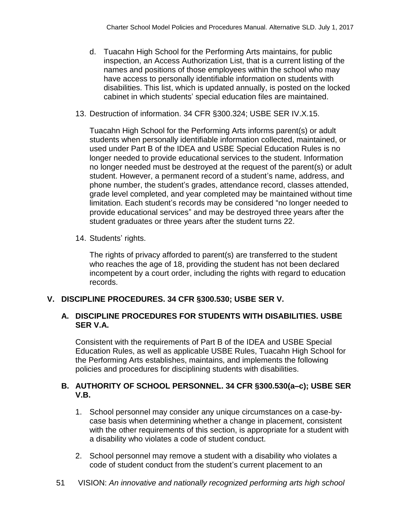- d. Tuacahn High School for the Performing Arts maintains, for public inspection, an Access Authorization List, that is a current listing of the names and positions of those employees within the school who may have access to personally identifiable information on students with disabilities. This list, which is updated annually, is posted on the locked cabinet in which students' special education files are maintained.
- 13. Destruction of information. 34 CFR §300.324; USBE SER IV.X.15.

Tuacahn High School for the Performing Arts informs parent(s) or adult students when personally identifiable information collected, maintained, or used under Part B of the IDEA and USBE Special Education Rules is no longer needed to provide educational services to the student. Information no longer needed must be destroyed at the request of the parent(s) or adult student. However, a permanent record of a student's name, address, and phone number, the student's grades, attendance record, classes attended, grade level completed, and year completed may be maintained without time limitation. Each student's records may be considered "no longer needed to provide educational services" and may be destroyed three years after the student graduates or three years after the student turns 22.

14. Students' rights.

The rights of privacy afforded to parent(s) are transferred to the student who reaches the age of 18, providing the student has not been declared incompetent by a court order, including the rights with regard to education records.

# **V. DISCIPLINE PROCEDURES. 34 CFR §300.530; USBE SER V.**

# **A. DISCIPLINE PROCEDURES FOR STUDENTS WITH DISABILITIES. USBE SER V.A.**

Consistent with the requirements of Part B of the IDEA and USBE Special Education Rules, as well as applicable USBE Rules, Tuacahn High School for the Performing Arts establishes, maintains, and implements the following policies and procedures for disciplining students with disabilities.

# **B. AUTHORITY OF SCHOOL PERSONNEL. 34 CFR §300.530(a–c); USBE SER V.B.**

- 1. School personnel may consider any unique circumstances on a case-bycase basis when determining whether a change in placement, consistent with the other requirements of this section, is appropriate for a student with a disability who violates a code of student conduct.
- 2. School personnel may remove a student with a disability who violates a code of student conduct from the student's current placement to an
- 51 VISION: *An innovative and nationally recognized performing arts high school*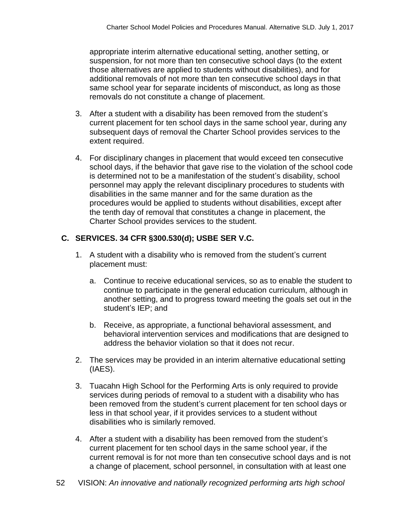appropriate interim alternative educational setting, another setting, or suspension, for not more than ten consecutive school days (to the extent those alternatives are applied to students without disabilities), and for additional removals of not more than ten consecutive school days in that same school year for separate incidents of misconduct, as long as those removals do not constitute a change of placement.

- 3. After a student with a disability has been removed from the student's current placement for ten school days in the same school year, during any subsequent days of removal the Charter School provides services to the extent required.
- 4. For disciplinary changes in placement that would exceed ten consecutive school days, if the behavior that gave rise to the violation of the school code is determined not to be a manifestation of the student's disability, school personnel may apply the relevant disciplinary procedures to students with disabilities in the same manner and for the same duration as the procedures would be applied to students without disabilities, except after the tenth day of removal that constitutes a change in placement, the Charter School provides services to the student.

# **C. SERVICES. 34 CFR §300.530(d); USBE SER V.C.**

- 1. A student with a disability who is removed from the student's current placement must:
	- a. Continue to receive educational services, so as to enable the student to continue to participate in the general education curriculum, although in another setting, and to progress toward meeting the goals set out in the student's IEP; and
	- b. Receive, as appropriate, a functional behavioral assessment, and behavioral intervention services and modifications that are designed to address the behavior violation so that it does not recur.
- 2. The services may be provided in an interim alternative educational setting (IAES).
- 3. Tuacahn High School for the Performing Arts is only required to provide services during periods of removal to a student with a disability who has been removed from the student's current placement for ten school days or less in that school year, if it provides services to a student without disabilities who is similarly removed.
- 4. After a student with a disability has been removed from the student's current placement for ten school days in the same school year, if the current removal is for not more than ten consecutive school days and is not a change of placement, school personnel, in consultation with at least one
- 52 VISION: *An innovative and nationally recognized performing arts high school*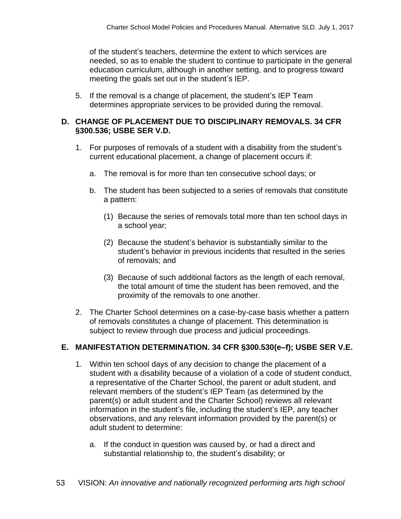of the student's teachers, determine the extent to which services are needed, so as to enable the student to continue to participate in the general education curriculum, although in another setting, and to progress toward meeting the goals set out in the student's IEP.

5. If the removal is a change of placement, the student's IEP Team determines appropriate services to be provided during the removal.

#### **D. CHANGE OF PLACEMENT DUE TO DISCIPLINARY REMOVALS. 34 CFR §300.536; USBE SER V.D.**

- 1. For purposes of removals of a student with a disability from the student's current educational placement, a change of placement occurs if:
	- a. The removal is for more than ten consecutive school days; or
	- b. The student has been subjected to a series of removals that constitute a pattern:
		- (1) Because the series of removals total more than ten school days in a school year;
		- (2) Because the student's behavior is substantially similar to the student's behavior in previous incidents that resulted in the series of removals; and
		- (3) Because of such additional factors as the length of each removal, the total amount of time the student has been removed, and the proximity of the removals to one another.
- 2. The Charter School determines on a case-by-case basis whether a pattern of removals constitutes a change of placement. This determination is subject to review through due process and judicial proceedings.

# **E. MANIFESTATION DETERMINATION. 34 CFR §300.530(e–f); USBE SER V.E.**

- 1. Within ten school days of any decision to change the placement of a student with a disability because of a violation of a code of student conduct, a representative of the Charter School, the parent or adult student, and relevant members of the student's IEP Team (as determined by the parent(s) or adult student and the Charter School) reviews all relevant information in the student's file, including the student's IEP, any teacher observations, and any relevant information provided by the parent(s) or adult student to determine:
	- a. If the conduct in question was caused by, or had a direct and substantial relationship to, the student's disability; or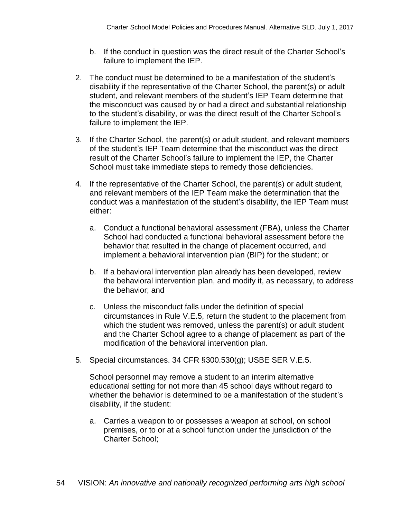- b. If the conduct in question was the direct result of the Charter School's failure to implement the IEP.
- 2. The conduct must be determined to be a manifestation of the student's disability if the representative of the Charter School, the parent(s) or adult student, and relevant members of the student's IEP Team determine that the misconduct was caused by or had a direct and substantial relationship to the student's disability, or was the direct result of the Charter School's failure to implement the IEP.
- 3. If the Charter School, the parent(s) or adult student, and relevant members of the student's IEP Team determine that the misconduct was the direct result of the Charter School's failure to implement the IEP, the Charter School must take immediate steps to remedy those deficiencies.
- 4. If the representative of the Charter School, the parent(s) or adult student, and relevant members of the IEP Team make the determination that the conduct was a manifestation of the student's disability, the IEP Team must either:
	- a. Conduct a functional behavioral assessment (FBA), unless the Charter School had conducted a functional behavioral assessment before the behavior that resulted in the change of placement occurred, and implement a behavioral intervention plan (BIP) for the student; or
	- b. If a behavioral intervention plan already has been developed, review the behavioral intervention plan, and modify it, as necessary, to address the behavior; and
	- c. Unless the misconduct falls under the definition of special circumstances in Rule V.E.5, return the student to the placement from which the student was removed, unless the parent(s) or adult student and the Charter School agree to a change of placement as part of the modification of the behavioral intervention plan.
- 5. Special circumstances. 34 CFR §300.530(g); USBE SER V.E.5.

School personnel may remove a student to an interim alternative educational setting for not more than 45 school days without regard to whether the behavior is determined to be a manifestation of the student's disability, if the student:

a. Carries a weapon to or possesses a weapon at school, on school premises, or to or at a school function under the jurisdiction of the Charter School;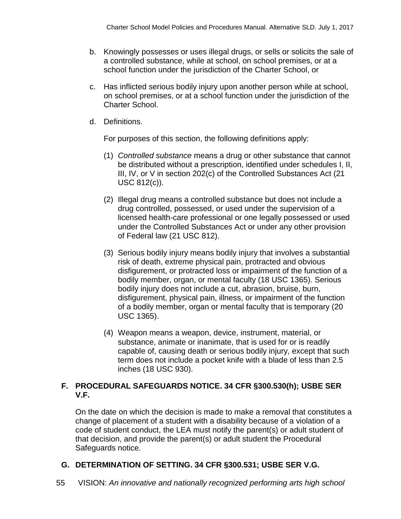- b. Knowingly possesses or uses illegal drugs, or sells or solicits the sale of a controlled substance, while at school, on school premises, or at a school function under the jurisdiction of the Charter School, or
- c. Has inflicted serious bodily injury upon another person while at school, on school premises, or at a school function under the jurisdiction of the Charter School.
- d. Definitions.

For purposes of this section, the following definitions apply:

- (1) *Controlled substance* means a drug or other substance that cannot be distributed without a prescription, identified under schedules I, II, III, IV, or V in section 202(c) of the Controlled Substances Act (21 USC 812(c)).
- (2) Illegal drug means a controlled substance but does not include a drug controlled, possessed, or used under the supervision of a licensed health-care professional or one legally possessed or used under the Controlled Substances Act or under any other provision of Federal law (21 USC 812).
- (3) Serious bodily injury means bodily injury that involves a substantial risk of death, extreme physical pain, protracted and obvious disfigurement, or protracted loss or impairment of the function of a bodily member, organ, or mental faculty (18 USC 1365). Serious bodily injury does not include a cut, abrasion, bruise, burn, disfigurement, physical pain, illness, or impairment of the function of a bodily member, organ or mental faculty that is temporary (20 USC 1365).
- (4) Weapon means a weapon, device, instrument, material, or substance, animate or inanimate, that is used for or is readily capable of, causing death or serious bodily injury, except that such term does not include a pocket knife with a blade of less than 2.5 inches (18 USC 930).

#### **F. PROCEDURAL SAFEGUARDS NOTICE. 34 CFR §300.530(h); USBE SER V.F.**

On the date on which the decision is made to make a removal that constitutes a change of placement of a student with a disability because of a violation of a code of student conduct, the LEA must notify the parent(s) or adult student of that decision, and provide the parent(s) or adult student the Procedural Safeguards notice.

# **G. DETERMINATION OF SETTING. 34 CFR §300.531; USBE SER V.G.**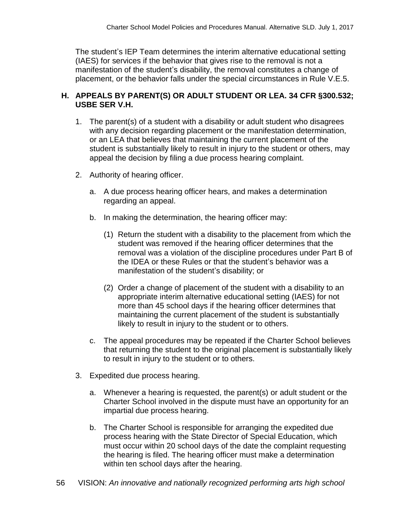The student's IEP Team determines the interim alternative educational setting (IAES) for services if the behavior that gives rise to the removal is not a manifestation of the student's disability, the removal constitutes a change of placement, or the behavior falls under the special circumstances in Rule V.E.5.

# **H. APPEALS BY PARENT(S) OR ADULT STUDENT OR LEA. 34 CFR §300.532; USBE SER V.H.**

- 1. The parent(s) of a student with a disability or adult student who disagrees with any decision regarding placement or the manifestation determination, or an LEA that believes that maintaining the current placement of the student is substantially likely to result in injury to the student or others, may appeal the decision by filing a due process hearing complaint.
- 2. Authority of hearing officer.
	- a. A due process hearing officer hears, and makes a determination regarding an appeal.
	- b. In making the determination, the hearing officer may:
		- (1) Return the student with a disability to the placement from which the student was removed if the hearing officer determines that the removal was a violation of the discipline procedures under Part B of the IDEA or these Rules or that the student's behavior was a manifestation of the student's disability; or
		- (2) Order a change of placement of the student with a disability to an appropriate interim alternative educational setting (IAES) for not more than 45 school days if the hearing officer determines that maintaining the current placement of the student is substantially likely to result in injury to the student or to others.
	- c. The appeal procedures may be repeated if the Charter School believes that returning the student to the original placement is substantially likely to result in injury to the student or to others.
- 3. Expedited due process hearing.
	- a. Whenever a hearing is requested, the parent(s) or adult student or the Charter School involved in the dispute must have an opportunity for an impartial due process hearing.
	- b. The Charter School is responsible for arranging the expedited due process hearing with the State Director of Special Education, which must occur within 20 school days of the date the complaint requesting the hearing is filed. The hearing officer must make a determination within ten school days after the hearing.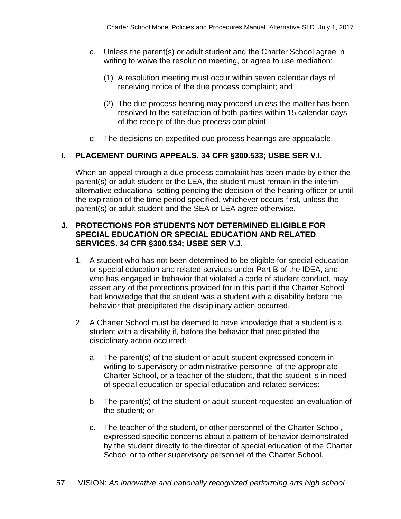- c. Unless the parent(s) or adult student and the Charter School agree in writing to waive the resolution meeting, or agree to use mediation:
	- (1) A resolution meeting must occur within seven calendar days of receiving notice of the due process complaint; and
	- (2) The due process hearing may proceed unless the matter has been resolved to the satisfaction of both parties within 15 calendar days of the receipt of the due process complaint.
- d. The decisions on expedited due process hearings are appealable.

# **I. PLACEMENT DURING APPEALS. 34 CFR §300.533; USBE SER V.I.**

When an appeal through a due process complaint has been made by either the parent(s) or adult student or the LEA, the student must remain in the interim alternative educational setting pending the decision of the hearing officer or until the expiration of the time period specified, whichever occurs first, unless the parent(s) or adult student and the SEA or LEA agree otherwise.

#### **J. PROTECTIONS FOR STUDENTS NOT DETERMINED ELIGIBLE FOR SPECIAL EDUCATION OR SPECIAL EDUCATION AND RELATED SERVICES. 34 CFR §300.534; USBE SER V.J.**

- 1. A student who has not been determined to be eligible for special education or special education and related services under Part B of the IDEA, and who has engaged in behavior that violated a code of student conduct, may assert any of the protections provided for in this part if the Charter School had knowledge that the student was a student with a disability before the behavior that precipitated the disciplinary action occurred.
- 2. A Charter School must be deemed to have knowledge that a student is a student with a disability if, before the behavior that precipitated the disciplinary action occurred:
	- a. The parent(s) of the student or adult student expressed concern in writing to supervisory or administrative personnel of the appropriate Charter School, or a teacher of the student, that the student is in need of special education or special education and related services;
	- b. The parent(s) of the student or adult student requested an evaluation of the student; or
	- c. The teacher of the student, or other personnel of the Charter School, expressed specific concerns about a pattern of behavior demonstrated by the student directly to the director of special education of the Charter School or to other supervisory personnel of the Charter School.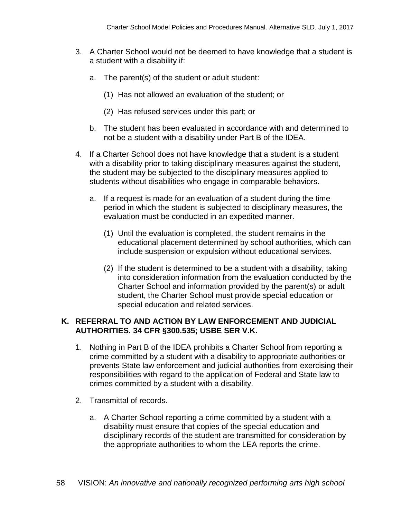- 3. A Charter School would not be deemed to have knowledge that a student is a student with a disability if:
	- a. The parent(s) of the student or adult student:
		- (1) Has not allowed an evaluation of the student; or
		- (2) Has refused services under this part; or
	- b. The student has been evaluated in accordance with and determined to not be a student with a disability under Part B of the IDEA.
- 4. If a Charter School does not have knowledge that a student is a student with a disability prior to taking disciplinary measures against the student, the student may be subjected to the disciplinary measures applied to students without disabilities who engage in comparable behaviors.
	- a. If a request is made for an evaluation of a student during the time period in which the student is subjected to disciplinary measures, the evaluation must be conducted in an expedited manner.
		- (1) Until the evaluation is completed, the student remains in the educational placement determined by school authorities, which can include suspension or expulsion without educational services.
		- (2) If the student is determined to be a student with a disability, taking into consideration information from the evaluation conducted by the Charter School and information provided by the parent(s) or adult student, the Charter School must provide special education or special education and related services.

#### **K. REFERRAL TO AND ACTION BY LAW ENFORCEMENT AND JUDICIAL AUTHORITIES. 34 CFR §300.535; USBE SER V.K.**

- 1. Nothing in Part B of the IDEA prohibits a Charter School from reporting a crime committed by a student with a disability to appropriate authorities or prevents State law enforcement and judicial authorities from exercising their responsibilities with regard to the application of Federal and State law to crimes committed by a student with a disability.
- 2. Transmittal of records.
	- a. A Charter School reporting a crime committed by a student with a disability must ensure that copies of the special education and disciplinary records of the student are transmitted for consideration by the appropriate authorities to whom the LEA reports the crime.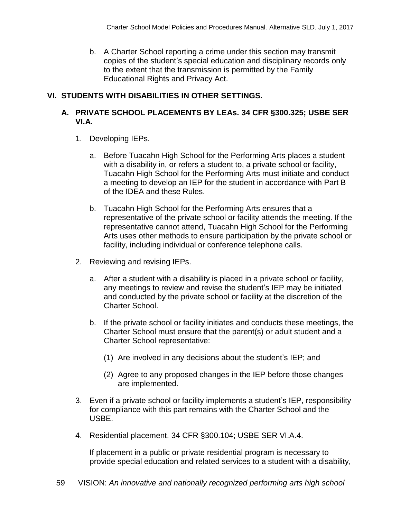b. A Charter School reporting a crime under this section may transmit copies of the student's special education and disciplinary records only to the extent that the transmission is permitted by the Family Educational Rights and Privacy Act.

# **VI. STUDENTS WITH DISABILITIES IN OTHER SETTINGS.**

# **A. PRIVATE SCHOOL PLACEMENTS BY LEAs. 34 CFR §300.325; USBE SER VI.A.**

- 1. Developing IEPs.
	- a. Before Tuacahn High School for the Performing Arts places a student with a disability in, or refers a student to, a private school or facility, Tuacahn High School for the Performing Arts must initiate and conduct a meeting to develop an IEP for the student in accordance with Part B of the IDEA and these Rules.
	- b. Tuacahn High School for the Performing Arts ensures that a representative of the private school or facility attends the meeting. If the representative cannot attend, Tuacahn High School for the Performing Arts uses other methods to ensure participation by the private school or facility, including individual or conference telephone calls.
- 2. Reviewing and revising IEPs.
	- a. After a student with a disability is placed in a private school or facility, any meetings to review and revise the student's IEP may be initiated and conducted by the private school or facility at the discretion of the Charter School.
	- b. If the private school or facility initiates and conducts these meetings, the Charter School must ensure that the parent(s) or adult student and a Charter School representative:
		- (1) Are involved in any decisions about the student's IEP; and
		- (2) Agree to any proposed changes in the IEP before those changes are implemented.
- 3. Even if a private school or facility implements a student's IEP, responsibility for compliance with this part remains with the Charter School and the USBE.
- 4. Residential placement. 34 CFR §300.104; USBE SER VI.A.4.

If placement in a public or private residential program is necessary to provide special education and related services to a student with a disability,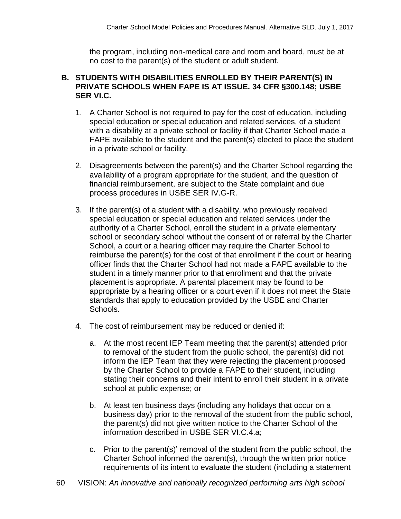the program, including non-medical care and room and board, must be at no cost to the parent(s) of the student or adult student.

#### **B. STUDENTS WITH DISABILITIES ENROLLED BY THEIR PARENT(S) IN PRIVATE SCHOOLS WHEN FAPE IS AT ISSUE. 34 CFR §300.148; USBE SER VI.C.**

- 1. A Charter School is not required to pay for the cost of education, including special education or special education and related services, of a student with a disability at a private school or facility if that Charter School made a FAPE available to the student and the parent(s) elected to place the student in a private school or facility.
- 2. Disagreements between the parent(s) and the Charter School regarding the availability of a program appropriate for the student, and the question of financial reimbursement, are subject to the State complaint and due process procedures in USBE SER IV.G-R.
- 3. If the parent(s) of a student with a disability, who previously received special education or special education and related services under the authority of a Charter School, enroll the student in a private elementary school or secondary school without the consent of or referral by the Charter School, a court or a hearing officer may require the Charter School to reimburse the parent(s) for the cost of that enrollment if the court or hearing officer finds that the Charter School had not made a FAPE available to the student in a timely manner prior to that enrollment and that the private placement is appropriate. A parental placement may be found to be appropriate by a hearing officer or a court even if it does not meet the State standards that apply to education provided by the USBE and Charter Schools.
- 4. The cost of reimbursement may be reduced or denied if:
	- a. At the most recent IEP Team meeting that the parent(s) attended prior to removal of the student from the public school, the parent(s) did not inform the IEP Team that they were rejecting the placement proposed by the Charter School to provide a FAPE to their student, including stating their concerns and their intent to enroll their student in a private school at public expense; or
	- b. At least ten business days (including any holidays that occur on a business day) prior to the removal of the student from the public school, the parent(s) did not give written notice to the Charter School of the information described in USBE SER VI.C.4.a;
	- c. Prior to the parent(s)' removal of the student from the public school, the Charter School informed the parent(s), through the written prior notice requirements of its intent to evaluate the student (including a statement
- 60 VISION: *An innovative and nationally recognized performing arts high school*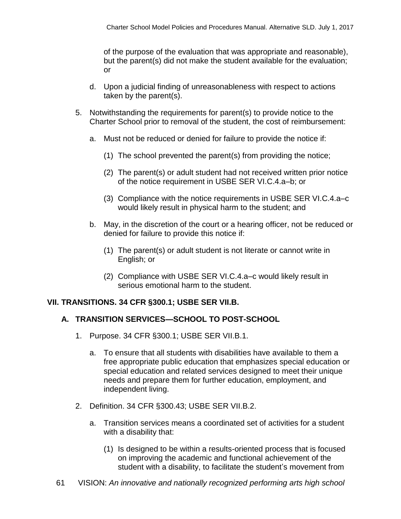of the purpose of the evaluation that was appropriate and reasonable), but the parent(s) did not make the student available for the evaluation; or

- d. Upon a judicial finding of unreasonableness with respect to actions taken by the parent(s).
- 5. Notwithstanding the requirements for parent(s) to provide notice to the Charter School prior to removal of the student, the cost of reimbursement:
	- a. Must not be reduced or denied for failure to provide the notice if:
		- (1) The school prevented the parent(s) from providing the notice;
		- (2) The parent(s) or adult student had not received written prior notice of the notice requirement in USBE SER VI.C.4.a–b; or
		- (3) Compliance with the notice requirements in USBE SER VI.C.4.a–c would likely result in physical harm to the student; and
	- b. May, in the discretion of the court or a hearing officer, not be reduced or denied for failure to provide this notice if:
		- (1) The parent(s) or adult student is not literate or cannot write in English; or
		- (2) Compliance with USBE SER VI.C.4.a–c would likely result in serious emotional harm to the student.

#### **VII. TRANSITIONS. 34 CFR §300.1; USBE SER VII.B.**

#### **A. TRANSITION SERVICES—SCHOOL TO POST-SCHOOL**

- 1. Purpose. 34 CFR §300.1; USBE SER VII.B.1.
	- a. To ensure that all students with disabilities have available to them a free appropriate public education that emphasizes special education or special education and related services designed to meet their unique needs and prepare them for further education, employment, and independent living.
- 2. Definition. 34 CFR §300.43; USBE SER VII.B.2.
	- a. Transition services means a coordinated set of activities for a student with a disability that:
		- (1) Is designed to be within a results-oriented process that is focused on improving the academic and functional achievement of the student with a disability, to facilitate the student's movement from
- 61 VISION: *An innovative and nationally recognized performing arts high school*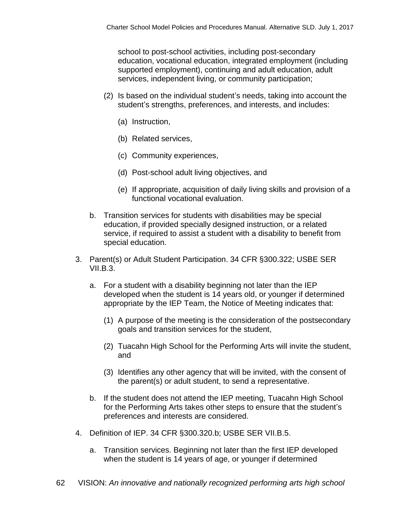school to post-school activities, including post-secondary education, vocational education, integrated employment (including supported employment), continuing and adult education, adult services, independent living, or community participation;

- (2) Is based on the individual student's needs, taking into account the student's strengths, preferences, and interests, and includes:
	- (a) Instruction,
	- (b) Related services,
	- (c) Community experiences,
	- (d) Post-school adult living objectives, and
	- (e) If appropriate, acquisition of daily living skills and provision of a functional vocational evaluation.
- b. Transition services for students with disabilities may be special education, if provided specially designed instruction, or a related service, if required to assist a student with a disability to benefit from special education.
- 3. Parent(s) or Adult Student Participation. 34 CFR §300.322; USBE SER  $VII.B.3.$ 
	- a. For a student with a disability beginning not later than the IEP developed when the student is 14 years old, or younger if determined appropriate by the IEP Team, the Notice of Meeting indicates that:
		- (1) A purpose of the meeting is the consideration of the postsecondary goals and transition services for the student,
		- (2) Tuacahn High School for the Performing Arts will invite the student, and
		- (3) Identifies any other agency that will be invited, with the consent of the parent(s) or adult student, to send a representative.
	- b. If the student does not attend the IEP meeting, Tuacahn High School for the Performing Arts takes other steps to ensure that the student's preferences and interests are considered.
- 4. Definition of IEP. 34 CFR §300.320.b; USBE SER VII.B.5.
	- a. Transition services. Beginning not later than the first IEP developed when the student is 14 years of age, or younger if determined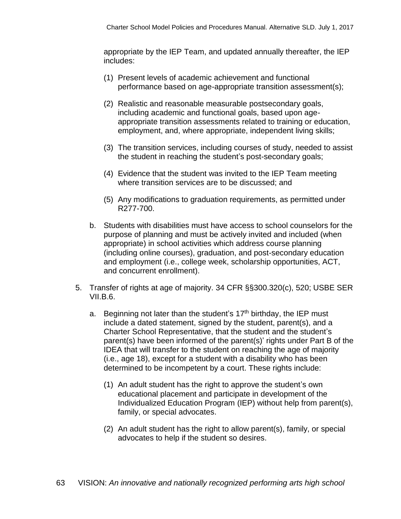appropriate by the IEP Team, and updated annually thereafter, the IEP includes:

- (1) Present levels of academic achievement and functional performance based on age-appropriate transition assessment(s);
- (2) Realistic and reasonable measurable postsecondary goals, including academic and functional goals, based upon ageappropriate transition assessments related to training or education, employment, and, where appropriate, independent living skills;
- (3) The transition services, including courses of study, needed to assist the student in reaching the student's post-secondary goals;
- (4) Evidence that the student was invited to the IEP Team meeting where transition services are to be discussed; and
- (5) Any modifications to graduation requirements, as permitted under R277-700.
- b. Students with disabilities must have access to school counselors for the purpose of planning and must be actively invited and included (when appropriate) in school activities which address course planning (including online courses), graduation, and post-secondary education and employment (i.e., college week, scholarship opportunities, ACT, and concurrent enrollment).
- 5. Transfer of rights at age of majority. 34 CFR §§300.320(c), 520; USBE SER  $VII.B.6.$ 
	- a. Beginning not later than the student's  $17<sup>th</sup>$  birthday, the IEP must include a dated statement, signed by the student, parent(s), and a Charter School Representative, that the student and the student's parent(s) have been informed of the parent(s)' rights under Part B of the IDEA that will transfer to the student on reaching the age of majority (i.e., age 18), except for a student with a disability who has been determined to be incompetent by a court. These rights include:
		- (1) An adult student has the right to approve the student's own educational placement and participate in development of the Individualized Education Program (IEP) without help from parent(s), family, or special advocates.
		- (2) An adult student has the right to allow parent(s), family, or special advocates to help if the student so desires.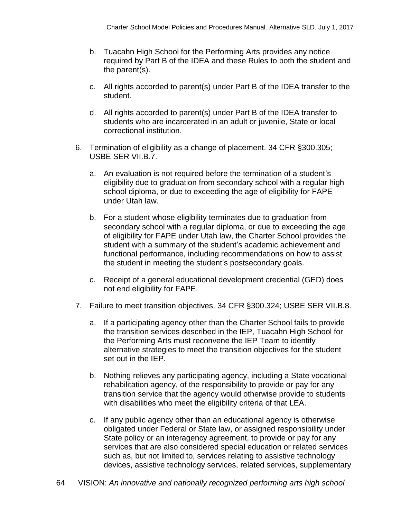- b. Tuacahn High School for the Performing Arts provides any notice required by Part B of the IDEA and these Rules to both the student and the parent(s).
- c. All rights accorded to parent(s) under Part B of the IDEA transfer to the student.
- d. All rights accorded to parent(s) under Part B of the IDEA transfer to students who are incarcerated in an adult or juvenile, State or local correctional institution.
- 6. Termination of eligibility as a change of placement. 34 CFR §300.305; USBE SER VII.B.7.
	- a. An evaluation is not required before the termination of a student's eligibility due to graduation from secondary school with a regular high school diploma, or due to exceeding the age of eligibility for FAPE under Utah law.
	- b. For a student whose eligibility terminates due to graduation from secondary school with a regular diploma, or due to exceeding the age of eligibility for FAPE under Utah law, the Charter School provides the student with a summary of the student's academic achievement and functional performance, including recommendations on how to assist the student in meeting the student's postsecondary goals.
	- c. Receipt of a general educational development credential (GED) does not end eligibility for FAPE.
- 7. Failure to meet transition objectives. 34 CFR §300.324; USBE SER VII.B.8.
	- a. If a participating agency other than the Charter School fails to provide the transition services described in the IEP, Tuacahn High School for the Performing Arts must reconvene the IEP Team to identify alternative strategies to meet the transition objectives for the student set out in the IEP.
	- b. Nothing relieves any participating agency, including a State vocational rehabilitation agency, of the responsibility to provide or pay for any transition service that the agency would otherwise provide to students with disabilities who meet the eligibility criteria of that LEA.
	- c. If any public agency other than an educational agency is otherwise obligated under Federal or State law, or assigned responsibility under State policy or an interagency agreement, to provide or pay for any services that are also considered special education or related services such as, but not limited to, services relating to assistive technology devices, assistive technology services, related services, supplementary
- 64 VISION: *An innovative and nationally recognized performing arts high school*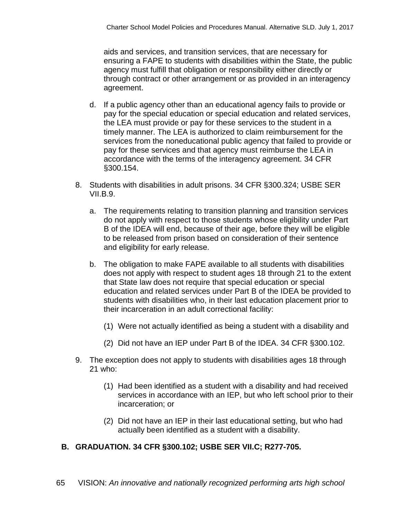aids and services, and transition services, that are necessary for ensuring a FAPE to students with disabilities within the State, the public agency must fulfill that obligation or responsibility either directly or through contract or other arrangement or as provided in an interagency agreement.

- d. If a public agency other than an educational agency fails to provide or pay for the special education or special education and related services, the LEA must provide or pay for these services to the student in a timely manner. The LEA is authorized to claim reimbursement for the services from the noneducational public agency that failed to provide or pay for these services and that agency must reimburse the LEA in accordance with the terms of the interagency agreement. 34 CFR §300.154.
- 8. Students with disabilities in adult prisons. 34 CFR §300.324; USBE SER  $VILB.9.$ 
	- a. The requirements relating to transition planning and transition services do not apply with respect to those students whose eligibility under Part B of the IDEA will end, because of their age, before they will be eligible to be released from prison based on consideration of their sentence and eligibility for early release.
	- b. The obligation to make FAPE available to all students with disabilities does not apply with respect to student ages 18 through 21 to the extent that State law does not require that special education or special education and related services under Part B of the IDEA be provided to students with disabilities who, in their last education placement prior to their incarceration in an adult correctional facility:
		- (1) Were not actually identified as being a student with a disability and
		- (2) Did not have an IEP under Part B of the IDEA. 34 CFR §300.102.
- 9. The exception does not apply to students with disabilities ages 18 through 21 who:
	- (1) Had been identified as a student with a disability and had received services in accordance with an IEP, but who left school prior to their incarceration; or
	- (2) Did not have an IEP in their last educational setting, but who had actually been identified as a student with a disability.

# **B. GRADUATION. 34 CFR §300.102; USBE SER VII.C; R277-705.**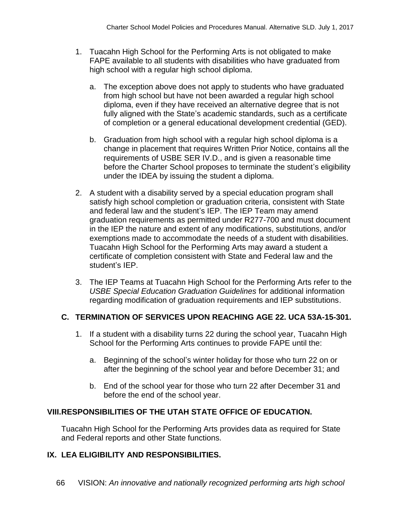- 1. Tuacahn High School for the Performing Arts is not obligated to make FAPE available to all students with disabilities who have graduated from high school with a regular high school diploma.
	- a. The exception above does not apply to students who have graduated from high school but have not been awarded a regular high school diploma, even if they have received an alternative degree that is not fully aligned with the State's academic standards, such as a certificate of completion or a general educational development credential (GED).
	- b. Graduation from high school with a regular high school diploma is a change in placement that requires Written Prior Notice, contains all the requirements of USBE SER IV.D., and is given a reasonable time before the Charter School proposes to terminate the student's eligibility under the IDEA by issuing the student a diploma.
- 2. A student with a disability served by a special education program shall satisfy high school completion or graduation criteria, consistent with State and federal law and the student's IEP. The IEP Team may amend graduation requirements as permitted under R277-700 and must document in the IEP the nature and extent of any modifications, substitutions, and/or exemptions made to accommodate the needs of a student with disabilities. Tuacahn High School for the Performing Arts may award a student a certificate of completion consistent with State and Federal law and the student's IEP.
- 3. The IEP Teams at Tuacahn High School for the Performing Arts refer to the *USBE Special Education Graduation Guidelines* for additional information regarding modification of graduation requirements and IEP substitutions.

# **C. TERMINATION OF SERVICES UPON REACHING AGE 22. UCA 53A-15-301.**

- 1. If a student with a disability turns 22 during the school year, Tuacahn High School for the Performing Arts continues to provide FAPE until the:
	- a. Beginning of the school's winter holiday for those who turn 22 on or after the beginning of the school year and before December 31; and
	- b. End of the school year for those who turn 22 after December 31 and before the end of the school year.

# **VIII.RESPONSIBILITIES OF THE UTAH STATE OFFICE OF EDUCATION.**

Tuacahn High School for the Performing Arts provides data as required for State and Federal reports and other State functions.

#### **IX. LEA ELIGIBILITY AND RESPONSIBILITIES.**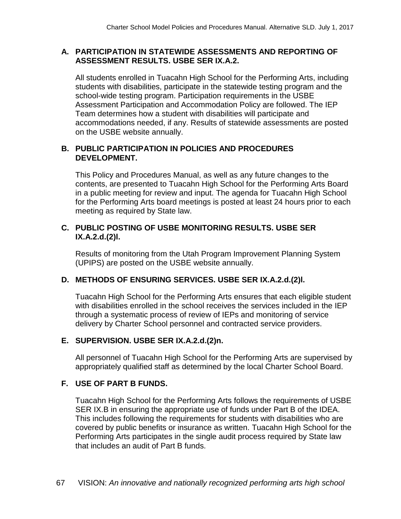#### **A. PARTICIPATION IN STATEWIDE ASSESSMENTS AND REPORTING OF ASSESSMENT RESULTS. USBE SER IX.A.2.**

All students enrolled in Tuacahn High School for the Performing Arts, including students with disabilities, participate in the statewide testing program and the school-wide testing program. Participation requirements in the USBE Assessment Participation and Accommodation Policy are followed. The IEP Team determines how a student with disabilities will participate and accommodations needed, if any. Results of statewide assessments are posted on the USBE website annually.

# **B. PUBLIC PARTICIPATION IN POLICIES AND PROCEDURES DEVELOPMENT.**

This Policy and Procedures Manual, as well as any future changes to the contents, are presented to Tuacahn High School for the Performing Arts Board in a public meeting for review and input. The agenda for Tuacahn High School for the Performing Arts board meetings is posted at least 24 hours prior to each meeting as required by State law.

# **C. PUBLIC POSTING OF USBE MONITORING RESULTS. USBE SER IX.A.2.d.(2)l.**

Results of monitoring from the Utah Program Improvement Planning System (UPIPS) are posted on the USBE website annually.

# **D. METHODS OF ENSURING SERVICES. USBE SER IX.A.2.d.(2)l.**

Tuacahn High School for the Performing Arts ensures that each eligible student with disabilities enrolled in the school receives the services included in the IEP through a systematic process of review of IEPs and monitoring of service delivery by Charter School personnel and contracted service providers.

# **E. SUPERVISION. USBE SER IX.A.2.d.(2)n.**

All personnel of Tuacahn High School for the Performing Arts are supervised by appropriately qualified staff as determined by the local Charter School Board.

# **F. USE OF PART B FUNDS.**

Tuacahn High School for the Performing Arts follows the requirements of USBE SER IX.B in ensuring the appropriate use of funds under Part B of the IDEA. This includes following the requirements for students with disabilities who are covered by public benefits or insurance as written. Tuacahn High School for the Performing Arts participates in the single audit process required by State law that includes an audit of Part B funds.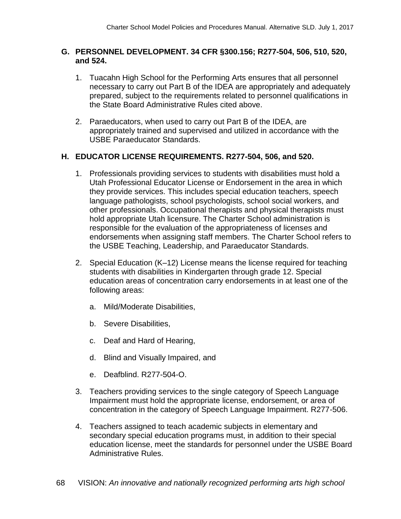#### **G. PERSONNEL DEVELOPMENT. 34 CFR §300.156; R277-504, 506, 510, 520, and 524.**

- 1. Tuacahn High School for the Performing Arts ensures that all personnel necessary to carry out Part B of the IDEA are appropriately and adequately prepared, subject to the requirements related to personnel qualifications in the State Board Administrative Rules cited above.
- 2. Paraeducators, when used to carry out Part B of the IDEA, are appropriately trained and supervised and utilized in accordance with the USBE Paraeducator Standards.

# **H. EDUCATOR LICENSE REQUIREMENTS. R277-504, 506, and 520.**

- 1. Professionals providing services to students with disabilities must hold a Utah Professional Educator License or Endorsement in the area in which they provide services. This includes special education teachers, speech language pathologists, school psychologists, school social workers, and other professionals. Occupational therapists and physical therapists must hold appropriate Utah licensure. The Charter School administration is responsible for the evaluation of the appropriateness of licenses and endorsements when assigning staff members. The Charter School refers to the USBE Teaching, Leadership, and Paraeducator Standards.
- 2. Special Education (K–12) License means the license required for teaching students with disabilities in Kindergarten through grade 12. Special education areas of concentration carry endorsements in at least one of the following areas:
	- a. Mild/Moderate Disabilities,
	- b. Severe Disabilities,
	- c. Deaf and Hard of Hearing,
	- d. Blind and Visually Impaired, and
	- e. Deafblind. R277-504-O.
- 3. Teachers providing services to the single category of Speech Language Impairment must hold the appropriate license, endorsement, or area of concentration in the category of Speech Language Impairment. R277-506.
- 4. Teachers assigned to teach academic subjects in elementary and secondary special education programs must, in addition to their special education license, meet the standards for personnel under the USBE Board Administrative Rules.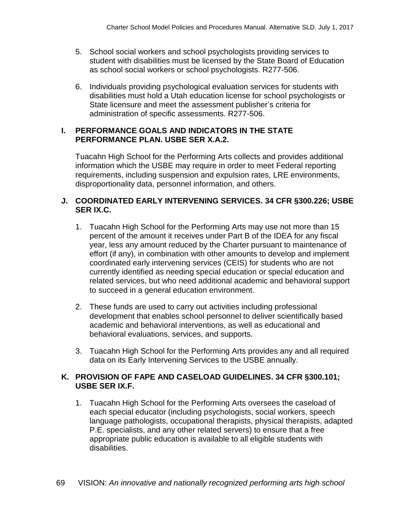- 5. School social workers and school psychologists providing services to student with disabilities must be licensed by the State Board of Education as school social workers or school psychologists. R277-506.
- 6. Individuals providing psychological evaluation services for students with disabilities must hold a Utah education license for school psychologists or State licensure and meet the assessment publisher's criteria for administration of specific assessments. R277-506.

#### **I. PERFORMANCE GOALS AND INDICATORS IN THE STATE PERFORMANCE PLAN. USBE SER X.A.2.**

Tuacahn High School for the Performing Arts collects and provides additional information which the USBE may require in order to meet Federal reporting requirements, including suspension and expulsion rates, LRE environments, disproportionality data, personnel information, and others.

#### **J. COORDINATED EARLY INTERVENING SERVICES. 34 CFR §300.226; USBE SER IX.C.**

- 1. Tuacahn High School for the Performing Arts may use not more than 15 percent of the amount it receives under Part B of the IDEA for any fiscal year, less any amount reduced by the Charter pursuant to maintenance of effort (if any), in combination with other amounts to develop and implement coordinated early intervening services (CEIS) for students who are not currently identified as needing special education or special education and related services, but who need additional academic and behavioral support to succeed in a general education environment.
- 2. These funds are used to carry out activities including professional development that enables school personnel to deliver scientifically based academic and behavioral interventions, as well as educational and behavioral evaluations, services, and supports.
- 3. Tuacahn High School for the Performing Arts provides any and all required data on its Early Intervening Services to the USBE annually.

# **K. PROVISION OF FAPE AND CASELOAD GUIDELINES. 34 CFR §300.101; USBE SER IX.F.**

1. Tuacahn High School for the Performing Arts oversees the caseload of each special educator (including psychologists, social workers, speech language pathologists, occupational therapists, physical therapists, adapted P.E. specialists, and any other related servers) to ensure that a free appropriate public education is available to all eligible students with disabilities.